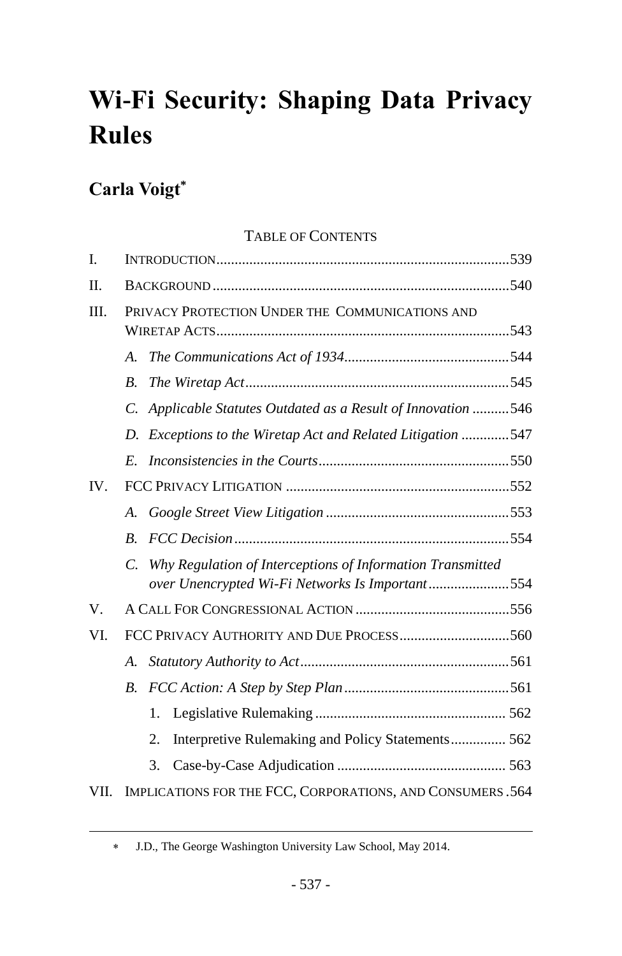# **Wi-Fi Security: Shaping Data Privacy Rules**

# **Carla Voigt\***

 $\overline{a}$ 

# TABLE OF CONTENTS

| I.   |                                                 |                                                                                                               |  |  |
|------|-------------------------------------------------|---------------------------------------------------------------------------------------------------------------|--|--|
| Π.   |                                                 |                                                                                                               |  |  |
| Ш.   | PRIVACY PROTECTION UNDER THE COMMUNICATIONS AND |                                                                                                               |  |  |
|      | A.                                              |                                                                                                               |  |  |
|      | $\boldsymbol{B}$ .                              |                                                                                                               |  |  |
|      | $\overline{C}$ .                                | Applicable Statutes Outdated as a Result of Innovation 546                                                    |  |  |
|      | D.                                              | Exceptions to the Wiretap Act and Related Litigation 547                                                      |  |  |
|      | E.                                              |                                                                                                               |  |  |
| IV.  |                                                 |                                                                                                               |  |  |
|      | $\mathcal{A}_{\cdot}$                           |                                                                                                               |  |  |
|      | $\boldsymbol{B}$                                |                                                                                                               |  |  |
|      | C.                                              | Why Regulation of Interceptions of Information Transmitted<br>over Unencrypted Wi-Fi Networks Is Important554 |  |  |
| V.   |                                                 |                                                                                                               |  |  |
| VI.  |                                                 |                                                                                                               |  |  |
|      | A.                                              |                                                                                                               |  |  |
|      | $B_{\cdot}$                                     |                                                                                                               |  |  |
|      |                                                 | 1.                                                                                                            |  |  |
|      |                                                 | Interpretive Rulemaking and Policy Statements 562<br>2.                                                       |  |  |
|      |                                                 | 3.                                                                                                            |  |  |
| VII. |                                                 | IMPLICATIONS FOR THE FCC, CORPORATIONS, AND CONSUMERS. 564                                                    |  |  |

J.D., The George Washington University Law School, May 2014.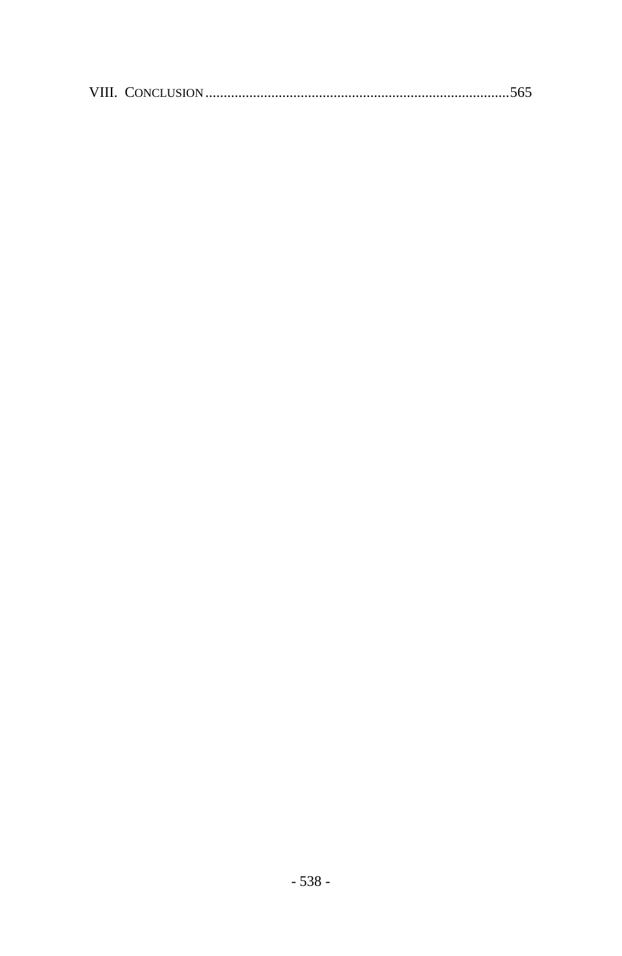|--|--|--|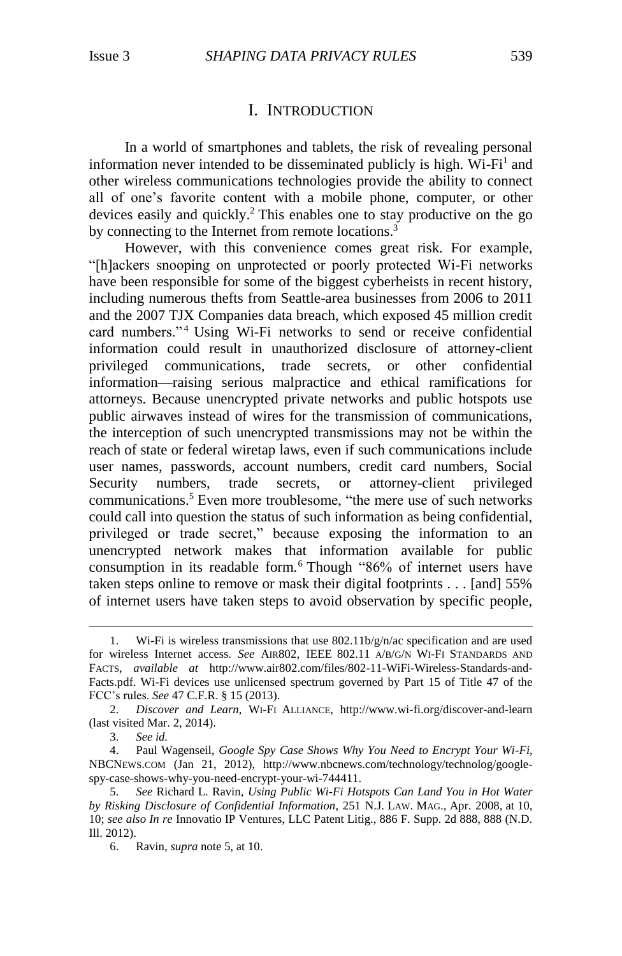## <span id="page-2-1"></span>I. INTRODUCTION

In a world of smartphones and tablets, the risk of revealing personal information never intended to be disseminated publicly is high. Wi-Fi<sup>1</sup> and other wireless communications technologies provide the ability to connect all of one's favorite content with a mobile phone, computer, or other devices easily and quickly. <sup>2</sup> This enables one to stay productive on the go by connecting to the Internet from remote locations.<sup>3</sup>

However, with this convenience comes great risk. For example, "[h]ackers snooping on unprotected or poorly protected Wi-Fi networks have been responsible for some of the biggest cyberheists in recent history, including numerous thefts from Seattle-area businesses from 2006 to 2011 and the 2007 TJX Companies data breach, which exposed 45 million credit card numbers."<sup>4</sup> Using Wi-Fi networks to send or receive confidential information could result in unauthorized disclosure of attorney-client privileged communications, trade secrets, or other confidential information—raising serious malpractice and ethical ramifications for attorneys. Because unencrypted private networks and public hotspots use public airwaves instead of wires for the transmission of communications, the interception of such unencrypted transmissions may not be within the reach of state or federal wiretap laws, even if such communications include user names, passwords, account numbers, credit card numbers, Social Security numbers, trade secrets, or attorney-client privileged communications.<sup>5</sup> Even more troublesome, "the mere use of such networks could call into question the status of such information as being confidential, privileged or trade secret," because exposing the information to an unencrypted network makes that information available for public consumption in its readable form. <sup>6</sup> Though "86% of internet users have taken steps online to remove or mask their digital footprints . . . [and] 55% of internet users have taken steps to avoid observation by specific people,

3. *See id.*

<span id="page-2-0"></span><sup>1.</sup> Wi-Fi is wireless transmissions that use  $802.11b/g/n/ac$  specification and are used for wireless Internet access. *See* AIR802, IEEE 802.11 A/B/G/N WI-FI STANDARDS AND FACTS, *available at* http://www.air802.com/files/802-11-WiFi-Wireless-Standards-and-Facts.pdf. Wi-Fi devices use unlicensed spectrum governed by Part 15 of Title 47 of the FCC's rules. *See* 47 C.F.R. § 15 (2013).

<sup>2.</sup> *Discover and Learn*, WI-FI ALLIANCE, http://www.wi-fi.org/discover-and-learn (last visited Mar. 2, 2014).

<sup>4.</sup> Paul Wagenseil, *Google Spy Case Shows Why You Need to Encrypt Your Wi-Fi*, NBCNEWS.COM (Jan 21, 2012), http://www.nbcnews.com/technology/technolog/googlespy-case-shows-why-you-need-encrypt-your-wi-744411.

<sup>5.</sup> *See* Richard L. Ravin, *Using Public Wi-Fi Hotspots Can Land You in Hot Water by Risking Disclosure of Confidential Information*, 251 N.J. LAW. MAG., Apr. 2008, at 10, 10; *see also In re* Innovatio IP Ventures, LLC Patent Litig., 886 F. Supp. 2d 888, 888 (N.D. Ill. 2012).

<sup>6.</sup> Ravin, *supra* note [5,](#page-2-0) at 10.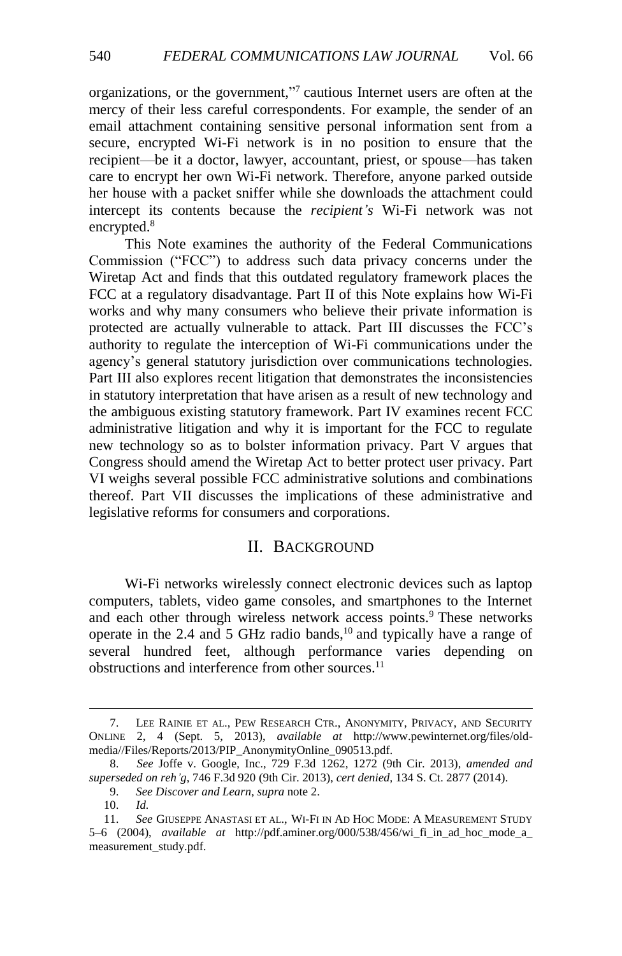organizations, or the government," 7 cautious Internet users are often at the mercy of their less careful correspondents. For example, the sender of an email attachment containing sensitive personal information sent from a secure, encrypted Wi-Fi network is in no position to ensure that the recipient—be it a doctor, lawyer, accountant, priest, or spouse—has taken care to encrypt her own Wi-Fi network. Therefore, anyone parked outside her house with a packet sniffer while she downloads the attachment could intercept its contents because the *recipient's* Wi-Fi network was not encrypted.<sup>8</sup>

This Note examines the authority of the Federal Communications Commission ("FCC") to address such data privacy concerns under the Wiretap Act and finds that this outdated regulatory framework places the FCC at a regulatory disadvantage. Part II of this Note explains how Wi-Fi works and why many consumers who believe their private information is protected are actually vulnerable to attack. Part III discusses the FCC's authority to regulate the interception of Wi-Fi communications under the agency's general statutory jurisdiction over communications technologies. Part III also explores recent litigation that demonstrates the inconsistencies in statutory interpretation that have arisen as a result of new technology and the ambiguous existing statutory framework. Part IV examines recent FCC administrative litigation and why it is important for the FCC to regulate new technology so as to bolster information privacy. Part V argues that Congress should amend the Wiretap Act to better protect user privacy. Part VI weighs several possible FCC administrative solutions and combinations thereof. Part VII discusses the implications of these administrative and legislative reforms for consumers and corporations.

### <span id="page-3-0"></span>II. BACKGROUND

Wi-Fi networks wirelessly connect electronic devices such as laptop computers, tablets, video game consoles, and smartphones to the Internet and each other through wireless network access points. <sup>9</sup> These networks operate in the 2.4 and 5 GHz radio bands, $^{10}$  and typically have a range of several hundred feet, although performance varies depending on obstructions and interference from other sources.<sup>11</sup>

<sup>7.</sup> LEE RAINIE ET AL., PEW RESEARCH CTR., ANONYMITY, PRIVACY, AND SECURITY ONLINE 2, 4 (Sept. 5, 2013), *available at* http://www.pewinternet.org/files/oldmedia//Files/Reports/2013/PIP\_AnonymityOnline\_090513.pdf.

<sup>8.</sup> *See* Joffe v. Google, Inc., 729 F.3d 1262, 1272 (9th Cir. 2013), *amended and superseded on reh'g*, 746 F.3d 920 (9th Cir. 2013), *cert denied*, 134 S. Ct. 2877 (2014).

<sup>9.</sup> *See Discover and Learn*, *supra* note [2.](#page-2-1)

<sup>10.</sup> *Id.*

<sup>11.</sup> *See* GIUSEPPE ANASTASI ET AL., WI-FI IN AD HOC MODE: A MEASUREMENT STUDY 5–6 (2004), *available at* http://pdf.aminer.org/000/538/456/wi\_fi\_in\_ad\_hoc\_mode\_a\_ measurement\_study.pdf.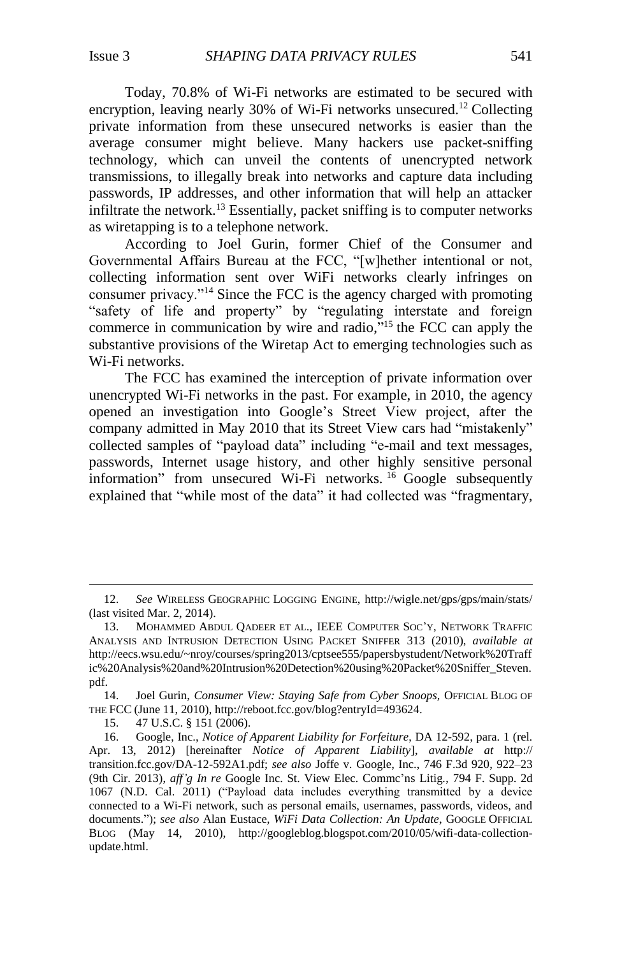Today, 70.8% of Wi-Fi networks are estimated to be secured with encryption, leaving nearly 30% of Wi-Fi networks unsecured.<sup>12</sup> Collecting private information from these unsecured networks is easier than the average consumer might believe. Many hackers use packet-sniffing technology, which can unveil the contents of unencrypted network transmissions, to illegally break into networks and capture data including passwords, IP addresses, and other information that will help an attacker infiltrate the network.<sup>13</sup> Essentially, packet sniffing is to computer networks as wiretapping is to a telephone network.

According to Joel Gurin, former Chief of the Consumer and Governmental Affairs Bureau at the FCC, "[w]hether intentional or not, collecting information sent over WiFi networks clearly infringes on consumer privacy."<sup>14</sup> Since the FCC is the agency charged with promoting "safety of life and property" by "regulating interstate and foreign commerce in communication by wire and radio," <sup>15</sup> the FCC can apply the substantive provisions of the Wiretap Act to emerging technologies such as Wi-Fi networks.

<span id="page-4-0"></span>The FCC has examined the interception of private information over unencrypted Wi-Fi networks in the past. For example, in 2010, the agency opened an investigation into Google's Street View project, after the company admitted in May 2010 that its Street View cars had "mistakenly" collected samples of "payload data" including "e-mail and text messages, passwords, Internet usage history, and other highly sensitive personal information" from unsecured Wi-Fi networks. <sup>16</sup> Google subsequently explained that "while most of the data" it had collected was "fragmentary,

<sup>12.</sup> *See* WIRELESS GEOGRAPHIC LOGGING ENGINE, http://wigle.net/gps/gps/main/stats/ (last visited Mar. 2, 2014).

<sup>13.</sup> MOHAMMED ABDUL QADEER ET AL., IEEE COMPUTER SOC'Y, NETWORK TRAFFIC ANALYSIS AND INTRUSION DETECTION USING PACKET SNIFFER 313 (2010), *available at* http://eecs.wsu.edu/~nroy/courses/spring2013/cptsee555/papersbystudent/Network%20Traff ic%20Analysis%20and%20Intrusion%20Detection%20using%20Packet%20Sniffer\_Steven. pdf.

<sup>14.</sup> Joel Gurin, *Consumer View: Staying Safe from Cyber Snoops,* OFFICIAL BLOG OF THE FCC (June 11, 2010), http://reboot.fcc.gov/blog?entryId=493624.

<sup>15.</sup> 47 U.S.C. § 151 (2006).

<sup>16.</sup> Google, Inc., *Notice of Apparent Liability for Forfeiture*, DA 12-592, para. 1 (rel. Apr. 13, 2012) [hereinafter *Notice of Apparent Liability*], *available at* http:// transition.fcc.gov/DA-12-592A1.pdf; *see also* Joffe v. Google, Inc., 746 F.3d 920, 922–23 (9th Cir. 2013), *aff'g In re* Google Inc. St. View Elec. Commc'ns Litig*.*, 794 F. Supp. 2d 1067 (N.D. Cal. 2011) ("Payload data includes everything transmitted by a device connected to a Wi-Fi network, such as personal emails, usernames, passwords, videos, and documents."); *see also* Alan Eustace, *WiFi Data Collection: An Update*, GOOGLE OFFICIAL BLOG (May 14, 2010), http://googleblog.blogspot.com/2010/05/wifi-data-collectionupdate.html.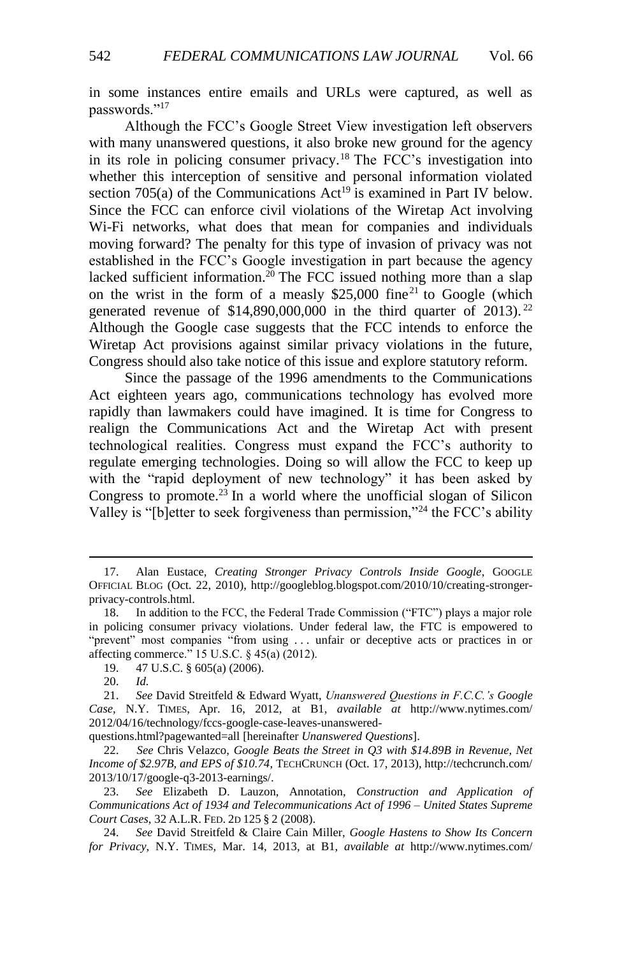in some instances entire emails and URLs were captured, as well as passwords."<sup>17</sup>

Although the FCC's Google Street View investigation left observers with many unanswered questions, it also broke new ground for the agency in its role in policing consumer privacy. <sup>18</sup> The FCC's investigation into whether this interception of sensitive and personal information violated section 705(a) of the Communications  $Act^{19}$  is examined in Part IV below. Since the FCC can enforce civil violations of the Wiretap Act involving Wi-Fi networks, what does that mean for companies and individuals moving forward? The penalty for this type of invasion of privacy was not established in the FCC's Google investigation in part because the agency lacked sufficient information.<sup>20</sup> The FCC issued nothing more than a slap on the wrist in the form of a measly  $$25,000$  fine<sup>21</sup> to Google (which generated revenue of  $$14,890,000,000$  in the third quarter of 2013).<sup>22</sup> Although the Google case suggests that the FCC intends to enforce the Wiretap Act provisions against similar privacy violations in the future, Congress should also take notice of this issue and explore statutory reform.

<span id="page-5-1"></span>Since the passage of the 1996 amendments to the Communications Act eighteen years ago, communications technology has evolved more rapidly than lawmakers could have imagined. It is time for Congress to realign the Communications Act and the Wiretap Act with present technological realities. Congress must expand the FCC's authority to regulate emerging technologies. Doing so will allow the FCC to keep up with the "rapid deployment of new technology" it has been asked by Congress to promote. <sup>23</sup> In a world where the unofficial slogan of Silicon Valley is "[b]etter to seek forgiveness than permission,"<sup>24</sup> the FCC's ability

<span id="page-5-2"></span><span id="page-5-0"></span> $\overline{a}$ 

questions.html?pagewanted=all [hereinafter *Unanswered Questions*].

<sup>17.</sup> Alan Eustace, *Creating Stronger Privacy Controls Inside Google*, GoogLE OFFICIAL BLOG (Oct. 22, 2010), http://googleblog.blogspot.com/2010/10/creating-strongerprivacy-controls.html.

<sup>18.</sup> In addition to the FCC, the Federal Trade Commission ("FTC") plays a major role in policing consumer privacy violations. Under federal law, the FTC is empowered to "prevent" most companies "from using . . . unfair or deceptive acts or practices in or affecting commerce." 15 U.S.C. § 45(a) (2012).

<sup>19.</sup> 47 U.S.C. § 605(a) (2006).

<sup>20.</sup> *Id.*

<sup>21.</sup> *See* David Streitfeld & Edward Wyatt, *Unanswered Questions in F.C.C.'s Google Case*, N.Y. TIMES, Apr. 16, 2012, at B1, *available at* http://www.nytimes.com/ 2012/04/16/technology/fccs-google-case-leaves-unanswered-

<sup>22.</sup> *See* Chris Velazco, *Google Beats the Street in Q3 with \$14.89B in Revenue, Net Income of \$2.97B, and EPS of \$10.74*, TECHCRUNCH (Oct. 17, 2013), http://techcrunch.com/ 2013/10/17/google-q3-2013-earnings/.

<sup>23.</sup> *See* Elizabeth D. Lauzon, Annotation, *Construction and Application of Communications Act of 1934 and Telecommunications Act of 1996 – United States Supreme Court Cases*, 32 A.L.R. FED. 2D 125 § 2 (2008).

<sup>24.</sup> *See* David Streitfeld & Claire Cain Miller, *Google Hastens to Show Its Concern for Privacy*, N.Y. TIMES, Mar. 14, 2013, at B1, *available at* http://www.nytimes.com/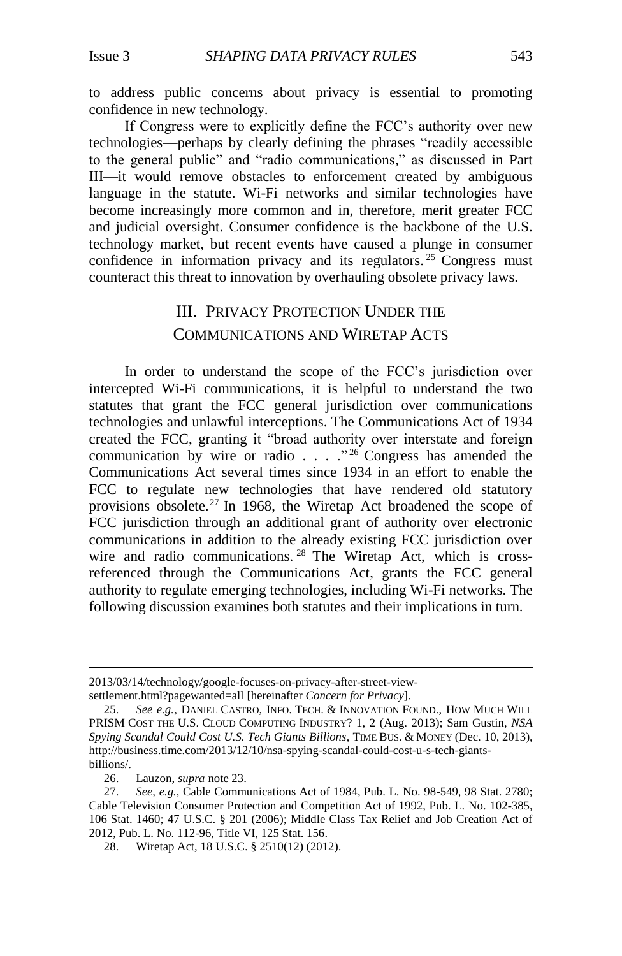to address public concerns about privacy is essential to promoting confidence in new technology.

If Congress were to explicitly define the FCC's authority over new technologies—perhaps by clearly defining the phrases "readily accessible to the general public" and "radio communications," as discussed in Part III—it would remove obstacles to enforcement created by ambiguous language in the statute. Wi-Fi networks and similar technologies have become increasingly more common and in, therefore, merit greater FCC and judicial oversight. Consumer confidence is the backbone of the U.S. technology market, but recent events have caused a plunge in consumer confidence in information privacy and its regulators.<sup>25</sup> Congress must counteract this threat to innovation by overhauling obsolete privacy laws.

# <span id="page-6-0"></span>III. PRIVACY PROTECTION UNDER THE COMMUNICATIONS AND WIRETAP ACTS

In order to understand the scope of the FCC's jurisdiction over intercepted Wi-Fi communications, it is helpful to understand the two statutes that grant the FCC general jurisdiction over communications technologies and unlawful interceptions. The Communications Act of 1934 created the FCC, granting it "broad authority over interstate and foreign communication by wire or radio  $\ldots$  . . . . . 226 Congress has amended the Communications Act several times since 1934 in an effort to enable the FCC to regulate new technologies that have rendered old statutory provisions obsolete.<sup>27</sup> In 1968, the Wiretap Act broadened the scope of FCC jurisdiction through an additional grant of authority over electronic communications in addition to the already existing FCC jurisdiction over wire and radio communications.<sup>28</sup> The Wiretap Act, which is crossreferenced through the Communications Act, grants the FCC general authority to regulate emerging technologies, including Wi-Fi networks. The following discussion examines both statutes and their implications in turn.

<sup>2013/03/14/</sup>technology/google-focuses-on-privacy-after-street-viewsettlement.html?pagewanted=all [hereinafter *Concern for Privacy*].

<sup>25.</sup> *See e.g.*, DANIEL CASTRO, INFO. TECH. & INNOVATION FOUND., HOW MUCH WILL PRISM COST THE U.S. CLOUD COMPUTING INDUSTRY? 1, 2 (Aug. 2013); Sam Gustin, *NSA Spying Scandal Could Cost U.S. Tech Giants Billions*, TIME BUS. & MONEY (Dec. 10, 2013), http://business.time.com/2013/12/10/nsa-spying-scandal-could-cost-u-s-tech-giantsbillions/.

<sup>26.</sup> Lauzon, *supra* not[e 23.](#page-5-0)

<sup>27.</sup> *See, e.g.*, Cable Communications Act of 1984, Pub. L. No. 98-549, 98 Stat. 2780; Cable Television Consumer Protection and Competition Act of 1992, Pub. L. No. 102-385, 106 Stat. 1460; 47 U.S.C. § 201 (2006); Middle Class Tax Relief and Job Creation Act of 2012[, Pub. L. No. 112-96,](https://1.next.westlaw.com/Link/Document/FullText?findType=l&pubNum=1077005&cite=UUID(IE76C68205D-6F11E1953ED-0FCCD72A401)&originationContext=document&transitionType=DocumentItem&contextData=(sc.Search)) Title VI, 125 Stat. 156.

<sup>28.</sup> Wiretap Act, 18 U.S.C. § 2510(12) (2012).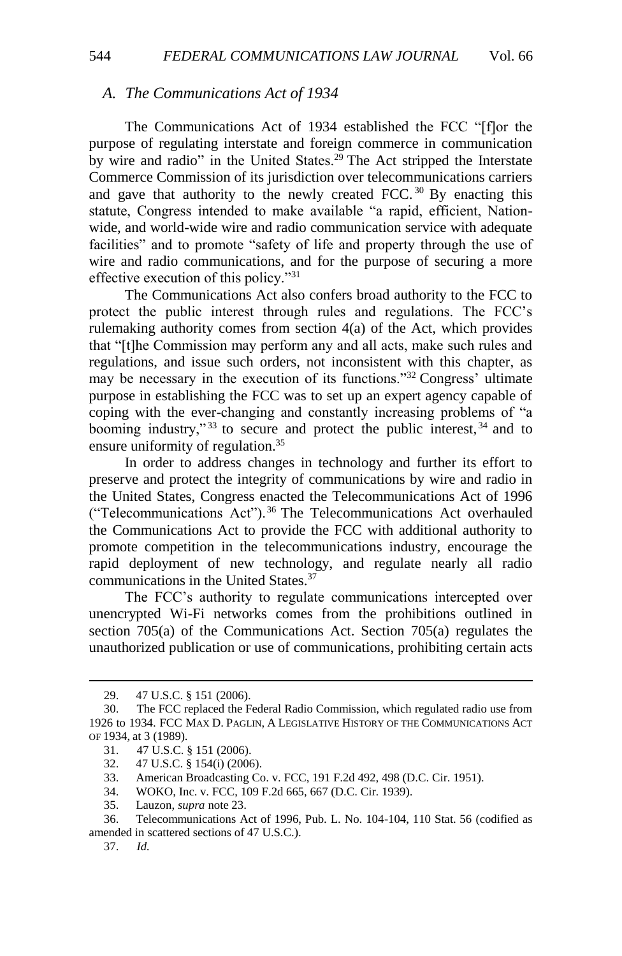#### *A. The Communications Act of 1934*

The Communications Act of 1934 established the FCC "[f]or the purpose of regulating interstate and foreign commerce in communication by wire and radio" in the United States.<sup>29</sup> The Act stripped the Interstate Commerce Commission of its jurisdiction over telecommunications carriers and gave that authority to the newly created FCC.<sup>30</sup> By enacting this statute, Congress intended to make available "a rapid, efficient, Nationwide, and world-wide wire and radio communication service with adequate facilities" and to promote "safety of life and property through the use of wire and radio communications, and for the purpose of securing a more effective execution of this policy."<sup>31</sup>

The Communications Act also confers broad authority to the FCC to protect the public interest through rules and regulations. The FCC's rulemaking authority comes from section 4(a) of the Act, which provides that "[t]he Commission may perform any and all acts, make such rules and regulations, and issue such orders, not inconsistent with this chapter, as may be necessary in the execution of its functions."<sup>32</sup> Congress' ultimate purpose in establishing the FCC was to set up an expert agency capable of coping with the ever-changing and constantly increasing problems of "a booming industry,"<sup>33</sup> to secure and protect the public interest,  $34$  and to ensure uniformity of regulation.<sup>35</sup>

In order to address changes in technology and further its effort to preserve and protect the integrity of communications by wire and radio in the United States, Congress enacted the Telecommunications Act of 1996 ("Telecommunications Act").<sup>36</sup> The Telecommunications Act overhauled the Communications Act to provide the FCC with additional authority to promote competition in the telecommunications industry, encourage the rapid deployment of new technology, and regulate nearly all radio communications in the United States.<sup>37</sup>

The FCC's authority to regulate communications intercepted over unencrypted Wi-Fi networks comes from the prohibitions outlined in section 705(a) of the Communications Act. Section 705(a) regulates the unauthorized publication or use of communications, prohibiting certain acts

<sup>29.</sup> 47 U.S.C. § 151 (2006).

<sup>30.</sup> The FCC replaced the Federal Radio Commission, which regulated radio use from 1926 to 1934. FCC MAX D. PAGLIN, A LEGISLATIVE HISTORY OF THE COMMUNICATIONS ACT OF 1934, at 3 (1989).

<sup>31.</sup> 47 U.S.C. § 151 (2006).

<sup>32.</sup> 47 U.S.C. § 154(i) (2006).

<sup>33.</sup> American Broadcasting Co. v. FCC, 191 F.2d 492, 498 (D.C. Cir. 1951).

<sup>34.</sup> WOKO, Inc. v. FCC, 109 F.2d 665, 667 (D.C. Cir. 1939).

<sup>35.</sup> Lauzon, *supra* not[e 23.](#page-5-0)

<sup>36.</sup> Telecommunications Act of 1996, Pub. L. No. 104-104, 110 Stat. 56 (codified as amended in scattered sections of 47 U.S.C.).

<sup>37.</sup> *Id.*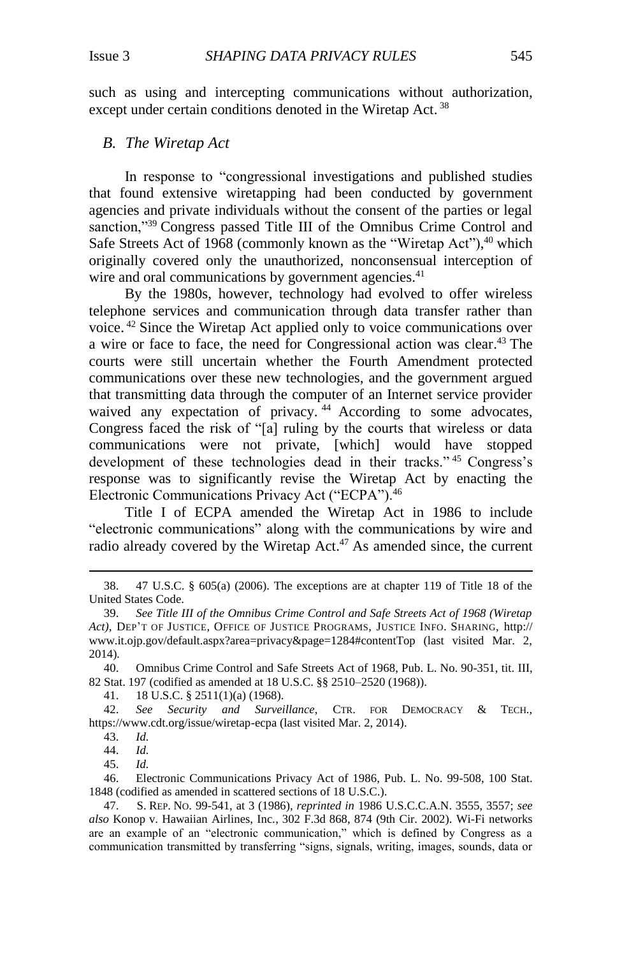such as using and intercepting communications without authorization, except under certain conditions denoted in the Wiretap Act.<sup>38</sup>

#### *B. The Wiretap Act*

In response to "congressional investigations and published studies that found extensive wiretapping had been conducted by government agencies and private individuals without the consent of the parties or legal sanction,"<sup>39</sup> Congress passed Title III of the Omnibus Crime Control and Safe Streets Act of 1968 (commonly known as the "Wiretap Act"),<sup>40</sup> which originally covered only the unauthorized, nonconsensual interception of wire and oral communications by government agencies.<sup>41</sup>

By the 1980s, however, technology had evolved to offer wireless telephone services and communication through data transfer rather than voice. <sup>42</sup> Since the Wiretap Act applied only to voice communications over a wire or face to face, the need for Congressional action was clear. <sup>43</sup> The courts were still uncertain whether the Fourth Amendment protected communications over these new technologies, and the government argued that transmitting data through the computer of an Internet service provider waived any expectation of privacy.<sup>44</sup> According to some advocates, Congress faced the risk of "[a] ruling by the courts that wireless or data communications were not private, [which] would have stopped development of these technologies dead in their tracks." <sup>45</sup> Congress's response was to significantly revise the Wiretap Act by enacting the Electronic Communications Privacy Act ("ECPA").<sup>46</sup>

Title I of ECPA amended the Wiretap Act in 1986 to include "electronic communications" along with the communications by wire and radio already covered by the Wiretap Act.<sup>47</sup> As amended since, the current

18 U.S.C. § 2511(1)(a) (1968).

42. *See Security and Surveillance*, CTR. FOR DEMOCRACY & TECH., https://www.cdt.org/issue/wiretap-ecpa (last visited Mar. 2, 2014).

43. *Id.*

 $\overline{a}$ 

44. *Id.*

45. *Id.*

46. Electronic Communications Privacy Act of 1986, Pub. L. No. 99-508, 100 Stat. 1848 (codified as amended in scattered sections of 18 U.S.C.).

<sup>38.</sup> 47 U.S.C. § 605(a) (2006). The exceptions are at chapter 119 of Title 18 of the United States Code.

<sup>39.</sup> *See Title III of the Omnibus Crime Control and Safe Streets Act of 1968 (Wiretap Act)*, DEP'T OF JUSTICE, OFFICE OF JUSTICE PROGRAMS, JUSTICE INFO. SHARING, http:// www.it.ojp.gov/default.aspx?area=privacy&page=1284#contentTop (last visited Mar. 2, 2014)*.*

<sup>40.</sup> Omnibus Crime Control and Safe Streets Act of 1968, Pub. L. No. 90-351, tit. III, 82 Stat. 197 (codified as amended at 18 U.S.C. §§ 2510–2520 (1968)).<br>41. 18 U.S.C. § 2511(1)(a) (1968).

<sup>47.</sup> S. REP. NO. 99-541, at 3 (1986), *reprinted in* 1986 U.S.C.C.A.N. 3555, 3557; *see also* Konop v. Hawaiian Airlines, Inc*.*, 302 F.3d 868, 874 (9th Cir. 2002). Wi-Fi networks are an example of an "electronic communication," which is defined by Congress as a communication transmitted by transferring "signs, signals, writing, images, sounds, data or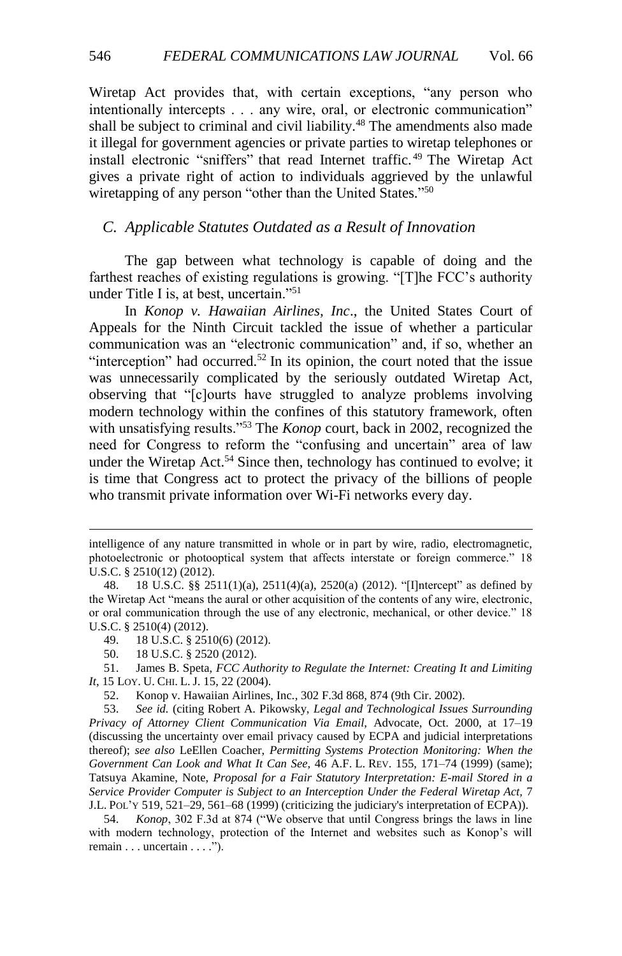Wiretap Act provides that, with certain exceptions, "any person who intentionally intercepts . . . any wire, oral, or electronic communication" shall be subject to criminal and civil liability.<sup>48</sup> The amendments also made it illegal for government agencies or private parties to wiretap telephones or install electronic "sniffers" that read Internet traffic. <sup>49</sup> The Wiretap Act gives a private right of action to individuals aggrieved by the unlawful wiretapping of any person "other than the United States."<sup>50</sup>

### *C. Applicable Statutes Outdated as a Result of Innovation*

The gap between what technology is capable of doing and the farthest reaches of existing regulations is growing. "[T]he FCC's authority under Title I is, at best, uncertain."<sup>51</sup>

In *Konop v. Hawaiian Airlines, Inc*., the United States Court of Appeals for the Ninth Circuit tackled the issue of whether a particular communication was an "electronic communication" and, if so, whether an "interception" had occurred.<sup>52</sup> In its opinion, the court noted that the issue was unnecessarily complicated by the seriously outdated Wiretap Act, observing that "[c]ourts have struggled to analyze problems involving modern technology within the confines of this statutory framework, often with unsatisfying results."<sup>53</sup> The *Konop* court, back in 2002, recognized the need for Congress to reform the "confusing and uncertain" area of law under the Wiretap Act.<sup>54</sup> Since then, technology has continued to evolve; it is time that Congress act to protect the privacy of the billions of people who transmit private information over Wi-Fi networks every day.

intelligence of any nature transmitted in whole or in part by wire, radio, electromagnetic, photoelectronic or photooptical system that affects interstate or foreign commerce." 18 U.S.C. § 2510(12) (2012).

<sup>48.</sup> 18 U.S.C. §§ 2511(1)(a), 2511(4)(a), 2520(a) (2012). "[I]ntercept" as defined by the Wiretap Act "means the aural or other acquisition of the contents of any wire, electronic, or oral communication through the use of any electronic, mechanical, or other device." 18 U.S.C. § 2510(4) (2012).

<sup>49.</sup> 18 U.S.C. § 2510(6) (2012).

<sup>50.</sup> 18 U.S.C. § 2520 (2012).

<sup>51.</sup> James B. Speta, *FCC Authority to Regulate the Internet: Creating It and Limiting It*, 15 LOY. U. CHI. L. J. 15, 22 (2004).

<sup>52.</sup> Konop v. Hawaiian Airlines, Inc*.*, 302 F.3d 868, 874 (9th Cir. 2002).

<sup>53.</sup> *See id.* (citing Robert A. Pikowsky, *Legal and Technological Issues Surrounding Privacy of Attorney Client Communication Via Email,* Advocate, Oct. 2000, at 17–19 (discussing the uncertainty over email privacy caused by ECPA and judicial interpretations thereof); *see also* LeEllen Coacher, *Permitting Systems Protection Monitoring: When the Government Can Look and What It Can See,* 46 A.F. L. REV. 155, 171–74 (1999) (same); Tatsuya Akamine, Note, *Proposal for a Fair Statutory Interpretation: E-mail Stored in a Service Provider Computer is Subject to an Interception Under the Federal Wiretap Act,* 7 J.L. POL'Y 519, 521–29, 561–68 (1999) (criticizing the judiciary's interpretation of ECPA)).

<sup>54.</sup> *Konop*, 302 F.3d at 874 ("We observe that until Congress brings the laws in line with modern technology, protection of the Internet and websites such as Konop's will remain . . . uncertain . . . .").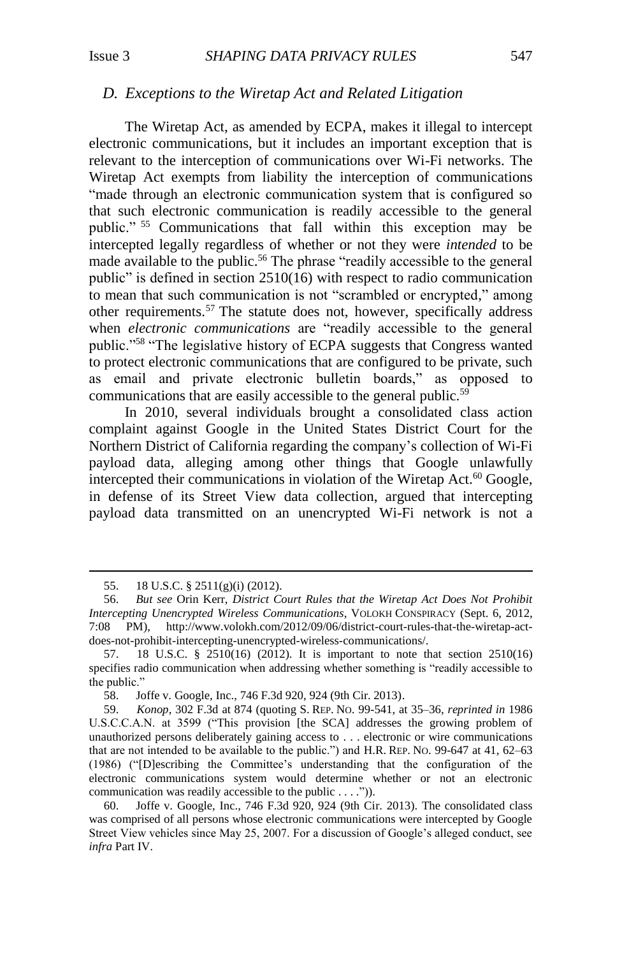#### *D. Exceptions to the Wiretap Act and Related Litigation*

<span id="page-10-0"></span>The Wiretap Act, as amended by ECPA, makes it illegal to intercept electronic communications, but it includes an important exception that is relevant to the interception of communications over Wi-Fi networks. The Wiretap Act exempts from liability the interception of communications "made through an electronic communication system that is configured so that such electronic communication is readily accessible to the general public." <sup>55</sup> Communications that fall within this exception may be intercepted legally regardless of whether or not they were *intended* to be made available to the public.<sup>56</sup> The phrase "readily accessible to the general public" is defined in section 2510(16) with respect to radio communication to mean that such communication is not "scrambled or encrypted," among other requirements.<sup>57</sup> The statute does not, however, specifically address when *electronic communications* are "readily accessible to the general public."<sup>58</sup> "The legislative history of ECPA suggests that Congress wanted to protect electronic communications that are configured to be private, such as email and private electronic bulletin boards," as opposed to communications that are easily accessible to the general public.<sup>59</sup>

In 2010, several individuals brought a consolidated class action complaint against Google in the United States District Court for the Northern District of California regarding the company's collection of Wi-Fi payload data, alleging among other things that Google unlawfully intercepted their communications in violation of the Wiretap Act. $60$  Google, in defense of its Street View data collection, argued that intercepting payload data transmitted on an unencrypted Wi-Fi network is not a

<sup>55.</sup> 18 U.S.C. § 2511(g)(i) (2012).

<sup>56.</sup> *But see* Orin Kerr, *District Court Rules that the Wiretap Act Does Not Prohibit Intercepting Unencrypted Wireless Communications*, VOLOKH CONSPIRACY (Sept. 6, 2012, 7:08 PM), http://www.volokh.com/2012/09/06/district-court-rules-that-the-wiretap-actdoes-not-prohibit-intercepting-unencrypted-wireless-communications/.

<sup>57.</sup> 18 U.S.C. § 2510(16) (2012). It is important to note that section 2510(16) specifies radio communication when addressing whether something is "readily accessible to the public."

<sup>58.</sup> Joffe v. Google, Inc., 746 F.3d 920, 924 (9th Cir. 2013).

<sup>59.</sup> *Konop*, 302 F.3d at 874 (quoting S. REP. NO. 99-541, at 35–36, *reprinted in* 1986 U.S.C.C.A.N. at 3599 ("This provision [the SCA] addresses the growing problem of unauthorized persons deliberately gaining access to . . . electronic or wire communications that are not intended to be available to the public.") and H.R. REP. NO. 99-647 at 41, 62–63 (1986) ("[D]escribing the Committee's understanding that the configuration of the electronic communications system would determine whether or not an electronic communication was readily accessible to the public . . . .")).

<sup>60.</sup> Joffe v. Google, Inc., 746 F.3d 920, 924 (9th Cir. 2013). The consolidated class was comprised of all persons whose electronic communications were intercepted by Google Street View vehicles since May 25, 2007. For a discussion of Google's alleged conduct, see *infra* Part IV.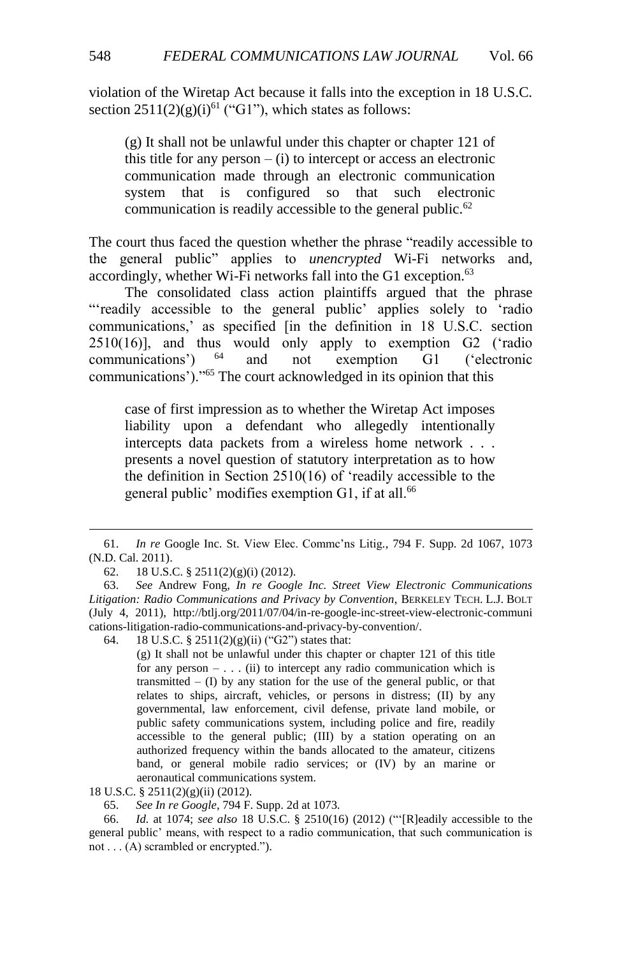violation of the Wiretap Act because it falls into the exception in 18 U.S.C. section  $2511(2)(g)(i)^{61}$  ("G1"), which states as follows:

(g) It shall not be unlawful under this chapter or chapter 121 of this title for any person – (i) to intercept or access an electronic communication made through an electronic communication system that is configured so that such electronic communication is readily accessible to the general public.<sup>62</sup>

The court thus faced the question whether the phrase "readily accessible to the general public" applies to *unencrypted* Wi-Fi networks and, accordingly, whether Wi-Fi networks fall into the G1 exception.<sup>63</sup>

The consolidated class action plaintiffs argued that the phrase "'readily accessible to the general public' applies solely to 'radio communications,' as specified [in the definition in 18 U.S.C. section 2510(16)], and thus would only apply to exemption G2 ('radio communications') <sup>64</sup> and not exemption G1 ('electronic communications')."<sup>65</sup> The court acknowledged in its opinion that this

case of first impression as to whether the Wiretap Act imposes liability upon a defendant who allegedly intentionally intercepts data packets from a wireless home network . . . presents a novel question of statutory interpretation as to how the definition in Section 2510(16) of 'readily accessible to the general public' modifies exemption G1, if at all.<sup>66</sup>

64. 18 U.S.C. § 2511(2)(g)(ii) ("G2") states that:

(g) It shall not be unlawful under this chapter or chapter 121 of this title for any person  $- \dots$  (ii) to intercept any radio communication which is transmitted  $-$  (I) by any station for the use of the general public, or that relates to ships, aircraft, vehicles, or persons in distress; (II) by any governmental, law enforcement, civil defense, private land mobile, or public safety communications system, including police and fire, readily accessible to the general public; (III) by a station operating on an authorized frequency within the bands allocated to the amateur, citizens band, or general mobile radio services; or (IV) by an marine or aeronautical communications system.

65. *See In re Google*, 794 F. Supp. 2d at 1073.

66. *Id.* at 1074; *see also* 18 U.S.C. § 2510(16) (2012) ("'[R]eadily accessible to the general public' means, with respect to a radio communication, that such communication is not . . . (A) scrambled or encrypted.").

<sup>61.</sup> *In re* Google Inc. St. View Elec. Commc'ns Litig*.*, 794 F. Supp. 2d 1067, 1073 (N.D. Cal. 2011).

<sup>62.</sup> 18 U.S.C. § 2511(2)(g)(i) (2012).

<sup>63.</sup> *See* Andrew Fong, *In re Google Inc. Street View Electronic Communications Litigation: Radio Communications and Privacy by Convention*, BERKELEY TECH. L.J. BOLT (July 4, 2011), http://btlj.org/2011/07/04/in-re-google-inc-street-view-electronic-communi cations-litigation-radio-communications-and-privacy-by-convention/.

<sup>18</sup> U.S.C. § 2511(2)(g)(ii) (2012).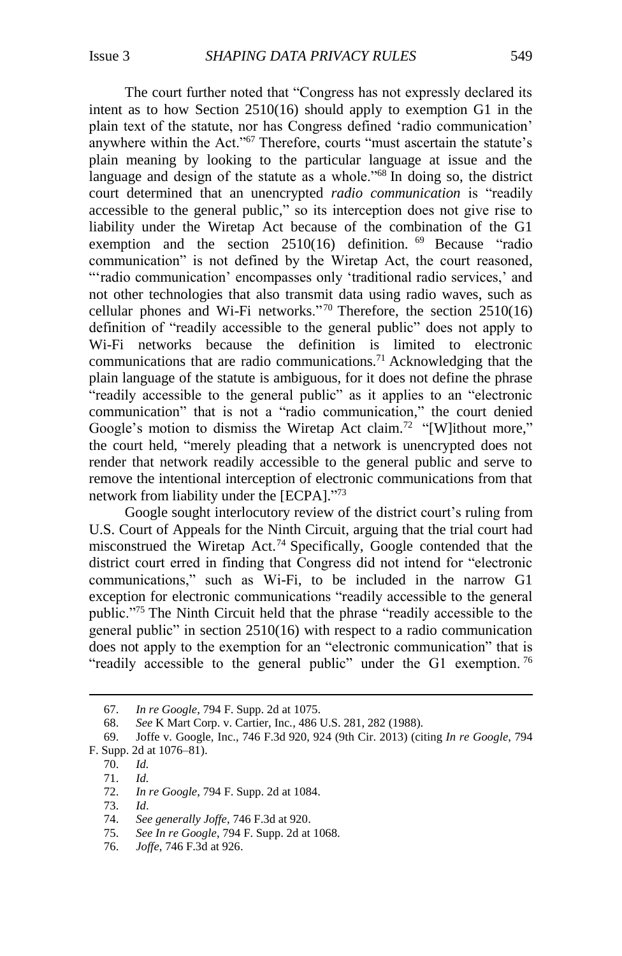The court further noted that "Congress has not expressly declared its intent as to how Section 2510(16) should apply to exemption G1 in the plain text of the statute, nor has Congress defined 'radio communication' anywhere within the Act."<sup>67</sup> Therefore, courts "must ascertain the statute's plain meaning by looking to the particular language at issue and the language and design of the statute as a whole."<sup>68</sup> In doing so, the district court determined that an unencrypted *radio communication* is "readily accessible to the general public," so its interception does not give rise to liability under the Wiretap Act because of the combination of the G1 exemption and the section 2510(16) definition. <sup>69</sup> Because "radio communication" is not defined by the Wiretap Act, the court reasoned, "'radio communication' encompasses only 'traditional radio services,' and not other technologies that also transmit data using radio waves, such as cellular phones and Wi-Fi networks."<sup>70</sup> Therefore, the section  $2510(16)$ definition of "readily accessible to the general public" does not apply to Wi-Fi networks because the definition is limited to electronic communications that are radio communications.<sup>71</sup> Acknowledging that the plain language of the statute is ambiguous, for it does not define the phrase "readily accessible to the general public" as it applies to an "electronic communication" that is not a "radio communication," the court denied Google's motion to dismiss the Wiretap Act claim.<sup>72</sup> "[W]ithout more," the court held, "merely pleading that a network is unencrypted does not render that network readily accessible to the general public and serve to remove the intentional interception of electronic communications from that network from liability under the [ECPA]."73

Google sought interlocutory review of the district court's ruling from U.S. Court of Appeals for the Ninth Circuit, arguing that the trial court had misconstrued the Wiretap Act.<sup>74</sup> Specifically, Google contended that the district court erred in finding that Congress did not intend for "electronic communications," such as Wi-Fi, to be included in the narrow G1 exception for electronic communications "readily accessible to the general public."<sup>75</sup> The Ninth Circuit held that the phrase "readily accessible to the general public" in section 2510(16) with respect to a radio communication does not apply to the exemption for an "electronic communication" that is "readily accessible to the general public" under the G1 exemption.<sup>76</sup>

<sup>67.</sup> *In re Google*, 794 F. Supp. 2d at 1075.

<sup>68.</sup> *See* K Mart Corp. v. Cartier, Inc*.*, 486 U.S. 281, 282 (1988).

<sup>69.</sup> Joffe v. Google, Inc., 746 F.3d 920, 924 (9th Cir. 2013) (citing *In re Google*, 794 F. Supp. 2d at 1076–81).

<sup>70.</sup> *Id.*

<sup>71.</sup> *Id.*

<sup>72.</sup> *In re Google*, 794 F. Supp. 2d at 1084.

<sup>73.</sup> *Id*.

<sup>74.</sup> *See generally Joffe*, 746 F.3d at 920.

<sup>75.</sup> *See In re Google*, 794 F. Supp. 2d at 1068.

<sup>76.</sup> *Joffe*, 746 F.3d at 926.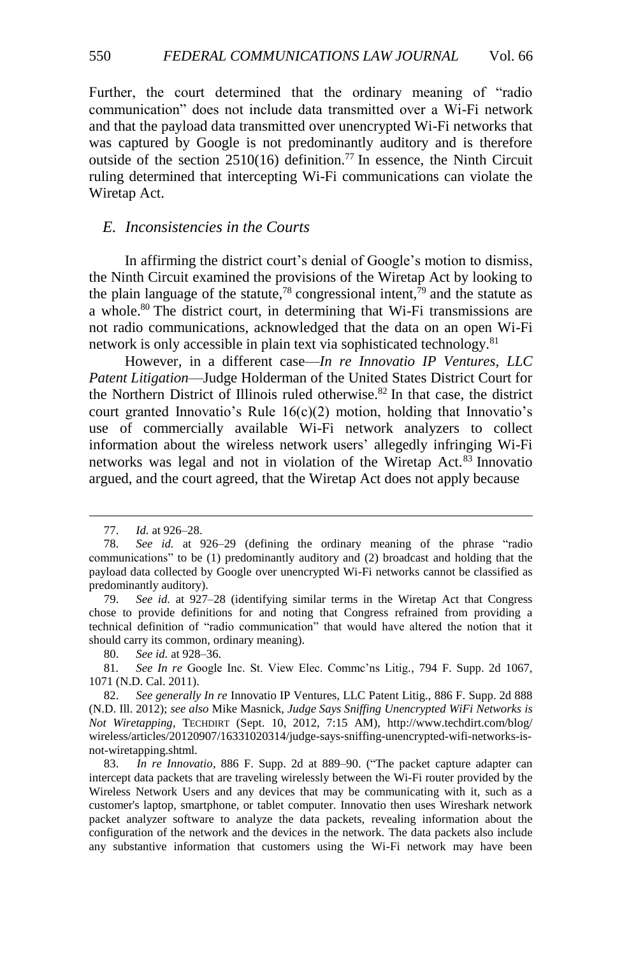Further, the court determined that the ordinary meaning of "radio communication" does not include data transmitted over a Wi-Fi network and that the payload data transmitted over unencrypted Wi-Fi networks that was captured by Google is not predominantly auditory and is therefore outside of the section  $2510(16)$  definition.<sup>77</sup> In essence, the Ninth Circuit ruling determined that intercepting Wi-Fi communications can violate the Wiretap Act.

#### *E. Inconsistencies in the Courts*

In affirming the district court's denial of Google's motion to dismiss, the Ninth Circuit examined the provisions of the Wiretap Act by looking to the plain language of the statute,<sup>78</sup> congressional intent,<sup> $\hat{7}9$ </sup> and the statute as a whole. <sup>80</sup> The district court, in determining that Wi-Fi transmissions are not radio communications, acknowledged that the data on an open Wi-Fi network is only accessible in plain text via sophisticated technology.<sup>81</sup>

However, in a different case—*In re Innovatio IP Ventures, LLC Patent Litigation*—Judge Holderman of the United States District Court for the Northern District of Illinois ruled otherwise.<sup>82</sup> In that case, the district court granted Innovatio's Rule  $16(c)(2)$  motion, holding that Innovatio's use of commercially available Wi-Fi network analyzers to collect information about the wireless network users' allegedly infringing Wi-Fi networks was legal and not in violation of the Wiretap Act.<sup>83</sup> Innovatio argued, and the court agreed, that the Wiretap Act does not apply because

 $\overline{a}$ 

80. *See id.* at 928–36.

81*. See In re* Google Inc. St. View Elec. Commc'ns Litig*.*, 794 F. Supp. 2d 1067, 1071 (N.D. Cal. 2011).

<sup>77.</sup> *Id.* at 926–28.

<sup>78.</sup> *See id.* at 926–29 (defining the ordinary meaning of the phrase "radio communications" to be (1) predominantly auditory and (2) broadcast and holding that the payload data collected by Google over unencrypted Wi-Fi networks cannot be classified as predominantly auditory).

<sup>79.</sup> *See id.* at 927–28 (identifying similar terms in the Wiretap Act that Congress chose to provide definitions for and noting that Congress refrained from providing a technical definition of "radio communication" that would have altered the notion that it should carry its common, ordinary meaning).

<sup>82.</sup> *See generally In re* Innovatio IP Ventures, LLC Patent Litig., 886 F. Supp. 2d 888 (N.D. Ill. 2012); *see also* Mike Masnick, *Judge Says Sniffing Unencrypted WiFi Networks is Not Wiretapping*, TECHDIRT (Sept. 10, 2012, 7:15 AM), http://www.techdirt.com/blog/ wireless/articles/20120907/16331020314/judge-says-sniffing-unencrypted-wifi-networks-isnot-wiretapping.shtml*.*

<sup>83.</sup> *In re Innovatio*, 886 F. Supp. 2d at 889–90. ("The packet capture adapter can intercept data packets that are traveling wirelessly between the Wi-Fi router provided by the Wireless Network Users and any devices that may be communicating with it, such as a customer's laptop, smartphone, or tablet computer. Innovatio then uses Wireshark network packet analyzer software to analyze the data packets, revealing information about the configuration of the network and the devices in the network. The data packets also include any substantive information that customers using the Wi-Fi network may have been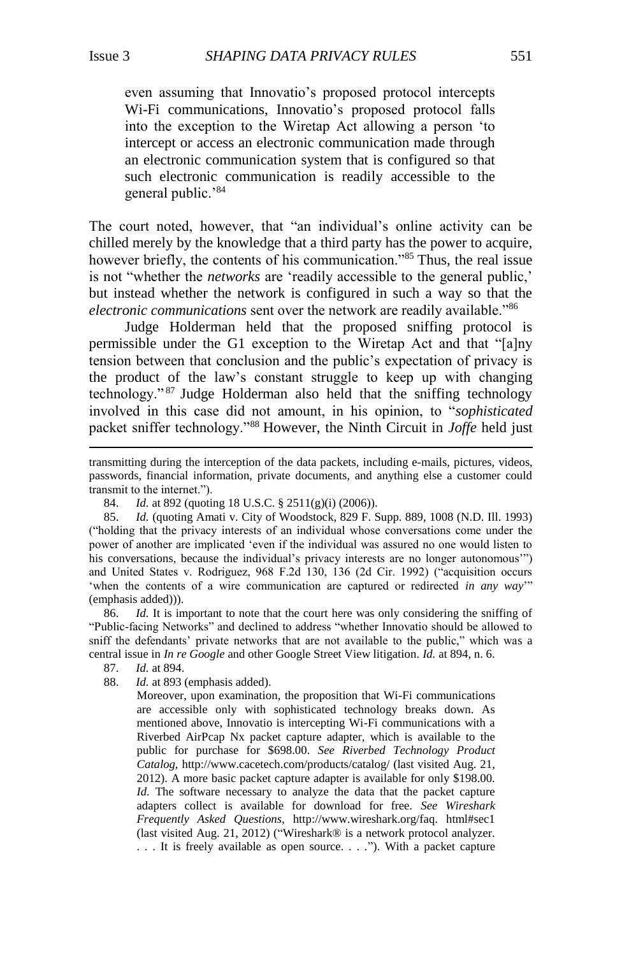$\overline{a}$ 

even assuming that Innovatio's proposed protocol intercepts Wi-Fi communications, Innovatio's proposed protocol falls into the exception to the Wiretap Act allowing a person 'to intercept or access an electronic communication made through an electronic communication system that is configured so that such electronic communication is readily accessible to the general public.'<sup>84</sup>

The court noted, however, that "an individual's online activity can be chilled merely by the knowledge that a third party has the power to acquire, however briefly, the contents of his communication."<sup>85</sup> Thus, the real issue is not "whether the *networks* are 'readily accessible to the general public,' but instead whether the network is configured in such a way so that the *electronic communications* sent over the network are readily available."<sup>86</sup>

Judge Holderman held that the proposed sniffing protocol is permissible under the G1 exception to the Wiretap Act and that "[a]ny tension between that conclusion and the public's expectation of privacy is the product of the law's constant struggle to keep up with changing technology." <sup>87</sup> Judge Holderman also held that the sniffing technology involved in this case did not amount, in his opinion, to "*sophisticated* packet sniffer technology."<sup>88</sup> However, the Ninth Circuit in *Joffe* held just

85. *Id.* (quoting Amati v. City of Woodstock, 829 F. Supp. 889, 1008 (N.D. Ill. 1993) ("holding that the privacy interests of an individual whose conversations come under the power of another are implicated 'even if the individual was assured no one would listen to his conversations, because the individual's privacy interests are no longer autonomous'") and United States v. Rodriguez, 968 F.2d 130, 136 (2d Cir. 1992) ("acquisition occurs 'when the contents of a wire communication are captured or redirected *in any way*'" (emphasis added))).

86. *Id.* It is important to note that the court here was only considering the sniffing of "Public-facing Networks" and declined to address "whether Innovatio should be allowed to sniff the defendants' private networks that are not available to the public," which was a central issue in *In re Google* and other Google Street View litigation. *Id.* at 894, n. 6.

- 87. *Id.* at 894.
- 88. *Id.* at 893 (emphasis added).

Moreover, upon examination, the proposition that Wi-Fi communications are accessible only with sophisticated technology breaks down. As mentioned above, Innovatio is intercepting Wi-Fi communications with a Riverbed AirPcap Nx packet capture adapter, which is available to the public for purchase for \$698.00. *See Riverbed Technology Product Catalog,* http://www.cacetech.com/products/catalog/ (last visited Aug. 21, 2012). A more basic packet capture adapter is available for only \$198.00. *Id.* The software necessary to analyze the data that the packet capture adapters collect is available for download for free. *See Wireshark Frequently Asked Questions,* http://www.wireshark.org/faq. html#sec1 (last visited Aug. 21, 2012) ("Wireshark® is a network protocol analyzer. . . . It is freely available as open source. . . ."). With a packet capture

transmitting during the interception of the data packets, including e-mails, pictures, videos, passwords, financial information, private documents, and anything else a customer could transmit to the internet.").

<sup>84.</sup> *Id.* at 892 (quoting 18 U.S.C. § 2511(g)(i) (2006)).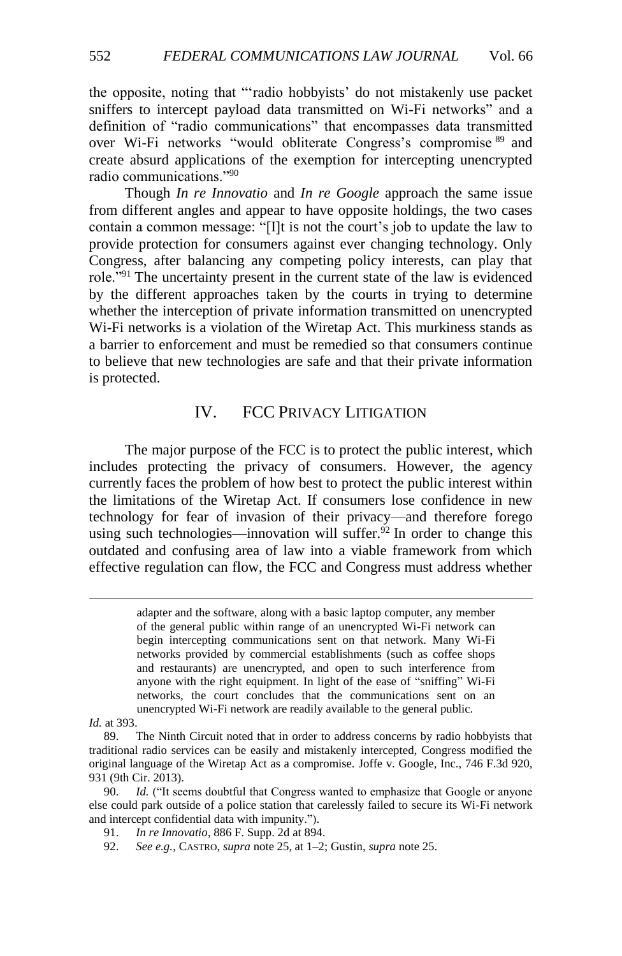the opposite, noting that "'radio hobbyists' do not mistakenly use packet sniffers to intercept payload data transmitted on Wi-Fi networks" and a definition of "radio communications" that encompasses data transmitted over Wi-Fi networks "would obliterate Congress's compromise <sup>89</sup> and create absurd applications of the exemption for intercepting unencrypted radio communications."<sup>90</sup>

Though *In re Innovatio* and *In re Google* approach the same issue from different angles and appear to have opposite holdings, the two cases contain a common message: "[I]t is not the court's job to update the law to provide protection for consumers against ever changing technology. Only Congress, after balancing any competing policy interests, can play that role."<sup>91</sup> The uncertainty present in the current state of the law is evidenced by the different approaches taken by the courts in trying to determine whether the interception of private information transmitted on unencrypted Wi-Fi networks is a violation of the Wiretap Act. This murkiness stands as a barrier to enforcement and must be remedied so that consumers continue to believe that new technologies are safe and that their private information is protected.

# IV. FCC PRIVACY LITIGATION

The major purpose of the FCC is to protect the public interest, which includes protecting the privacy of consumers. However, the agency currently faces the problem of how best to protect the public interest within the limitations of the Wiretap Act. If consumers lose confidence in new technology for fear of invasion of their privacy—and therefore forego using such technologies—innovation will suffer.<sup>92</sup> In order to change this outdated and confusing area of law into a viable framework from which effective regulation can flow, the FCC and Congress must address whether

adapter and the software, along with a basic laptop computer, any member of the general public within range of an unencrypted Wi-Fi network can begin intercepting communications sent on that network. Many Wi-Fi networks provided by commercial establishments (such as coffee shops and restaurants) are unencrypted, and open to such interference from anyone with the right equipment. In light of the ease of "sniffing" Wi-Fi networks, the court concludes that the communications sent on an unencrypted Wi-Fi network are readily available to the general public.

*Id.* at 393.

<sup>89.</sup> The Ninth Circuit noted that in order to address concerns by radio hobbyists that traditional radio services can be easily and mistakenly intercepted, Congress modified the original language of the Wiretap Act as a compromise. Joffe v. Google, Inc., 746 F.3d 920, 931 (9th Cir. 2013).

<sup>90.</sup> *Id.* ("It seems doubtful that Congress wanted to emphasize that Google or anyone else could park outside of a police station that carelessly failed to secure its Wi-Fi network and intercept confidential data with impunity.").

<sup>91.</sup> *In re Innovatio*, 886 F. Supp. 2d at 894.

<sup>92.</sup> *See e.g.*, CASTRO, *supra* not[e 25,](#page-6-0) at 1–2; Gustin, *supra* note [25.](#page-6-0)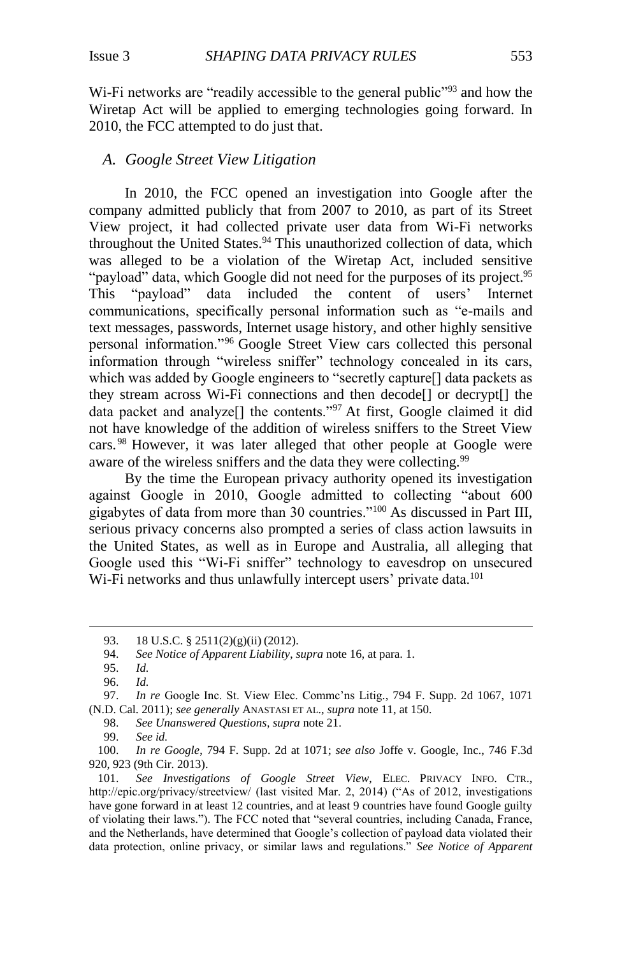Wi-Fi networks are "readily accessible to the general public"<sup>93</sup> and how the Wiretap Act will be applied to emerging technologies going forward. In 2010, the FCC attempted to do just that.

#### *A. Google Street View Litigation*

In 2010, the FCC opened an investigation into Google after the company admitted publicly that from 2007 to 2010, as part of its Street View project, it had collected private user data from Wi-Fi networks throughout the United States. $94$  This unauthorized collection of data, which was alleged to be a violation of the Wiretap Act, included sensitive "payload" data, which Google did not need for the purposes of its project.<sup>95</sup> This "payload" data included the content of users' Internet communications, specifically personal information such as "e-mails and text messages, passwords, Internet usage history, and other highly sensitive personal information."<sup>96</sup> Google Street View cars collected this personal information through "wireless sniffer" technology concealed in its cars, which was added by Google engineers to "secretly capture[] data packets as they stream across Wi-Fi connections and then decode[] or decrypt[] the data packet and analyze[] the contents."<sup>97</sup> At first, Google claimed it did not have knowledge of the addition of wireless sniffers to the Street View cars. <sup>98</sup> However, it was later alleged that other people at Google were aware of the wireless sniffers and the data they were collecting.<sup>99</sup>

By the time the European privacy authority opened its investigation against Google in 2010, Google admitted to collecting "about 600 gigabytes of data from more than 30 countries."<sup>100</sup> As discussed in Part III, serious privacy concerns also prompted a series of class action lawsuits in the United States, as well as in Europe and Australia, all alleging that Google used this "Wi-Fi sniffer" technology to eavesdrop on unsecured Wi-Fi networks and thus unlawfully intercept users' private data.<sup>101</sup>

<span id="page-16-0"></span><sup>93.</sup> 18 U.S.C. § 2511(2)(g)(ii) (2012).

<sup>94.</sup> *See Notice of Apparent Liability*, *supra* not[e 16,](#page-4-0) at para. 1.

<sup>95.</sup> *Id.*

<sup>96.</sup> *Id.* 97. *In re* Google Inc. St. View Elec. Commc'ns Litig*.*, 794 F. Supp. 2d 1067, 1071 (N.D. Cal. 2011); *see generally* ANASTASI ET AL., *supra* note [11,](#page-3-0) at 150.

<sup>98.</sup> *See Unanswered Questions*, *supra* note [21.](#page-5-1)

<sup>99.</sup> *See id.*

<sup>100.</sup> *In re Google*, 794 F. Supp. 2d at 1071; *see also* Joffe v. Google, Inc., 746 F.3d 920, 923 (9th Cir. 2013).

<sup>101.</sup> *See Investigations of Google Street View*, ELEC. PRIVACY INFO. CTR., http://epic.org/privacy/streetview/ (last visited Mar. 2, 2014) ("As of 2012, investigations have gone forward in at least 12 countries, and at least 9 countries have found Google guilty of violating their laws."). The FCC noted that "several countries, including Canada, France, and the Netherlands, have determined that Google's collection of payload data violated their data protection, online privacy, or similar laws and regulations." *See Notice of Apparent*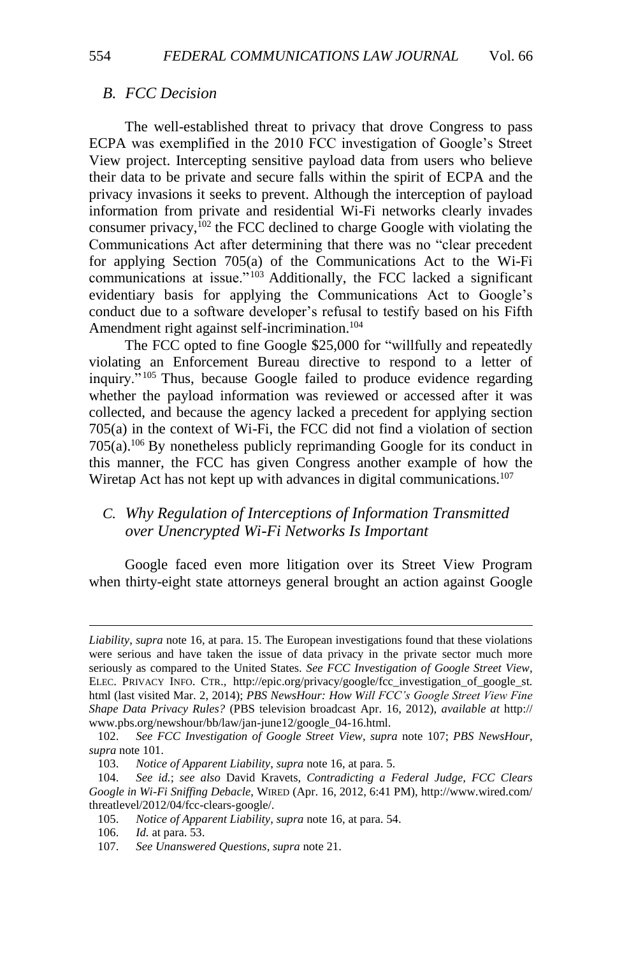#### *B. FCC Decision*

The well-established threat to privacy that drove Congress to pass ECPA was exemplified in the 2010 FCC investigation of Google's Street View project. Intercepting sensitive payload data from users who believe their data to be private and secure falls within the spirit of ECPA and the privacy invasions it seeks to prevent. Although the interception of payload information from private and residential Wi-Fi networks clearly invades consumer privacy, $102$  the FCC declined to charge Google with violating the Communications Act after determining that there was no "clear precedent for applying Section 705(a) of the Communications Act to the Wi-Fi communications at issue."<sup>103</sup> Additionally, the FCC lacked a significant evidentiary basis for applying the Communications Act to Google's conduct due to a software developer's refusal to testify based on his Fifth Amendment right against self-incrimination.<sup>104</sup>

The FCC opted to fine Google \$25,000 for "willfully and repeatedly violating an Enforcement Bureau directive to respond to a letter of inquiry." <sup>105</sup> Thus, because Google failed to produce evidence regarding whether the payload information was reviewed or accessed after it was collected, and because the agency lacked a precedent for applying section 705(a) in the context of Wi-Fi, the FCC did not find a violation of section 705(a).<sup>106</sup> By nonetheless publicly reprimanding Google for its conduct in this manner, the FCC has given Congress another example of how the Wiretap Act has not kept up with advances in digital communications.<sup>107</sup>

# *C. Why Regulation of Interceptions of Information Transmitted over Unencrypted Wi-Fi Networks Is Important*

Google faced even more litigation over its Street View Program when thirty-eight state attorneys general brought an action against Google

*Liability*, *supra* note [16,](#page-4-0) at para. 15. The European investigations found that these violations were serious and have taken the issue of data privacy in the private sector much more seriously as compared to the United States. *See FCC Investigation of Google Street View*, ELEC. PRIVACY INFO. CTR., http://epic.org/privacy/google/fcc\_investigation\_of\_google\_st. html (last visited Mar. 2, 2014); *PBS NewsHour: How Will FCC's Google Street View Fine Shape Data Privacy Rules?* (PBS television broadcast Apr. 16, 2012), *available at* http:// www.pbs.org/newshour/bb/law/jan-june12/google\_04-16.html.

<sup>102.</sup> *See FCC Investigation of Google Street View*, *supra* note 107; *PBS NewsHour*, *supra* note [101.](#page-16-0)

<sup>103.</sup> *Notice of Apparent Liability*, *supra* note [16,](#page-4-0) at para. 5.

<sup>104.</sup> *See id.*; *see also* David Kravets, *Contradicting a Federal Judge, FCC Clears Google in Wi-Fi Sniffing Debacle*, WIRED (Apr. 16, 2012, 6:41 PM), http://www.wired.com/ threatlevel/2012/04/fcc-clears-google/.

<sup>105.</sup> *Notice of Apparent Liability*, *supra* note [16,](#page-4-0) at para. 54.

<sup>106.</sup> *Id.* at para. 53.

<sup>107.</sup> *See Unanswered Questions*, *supra* note [21.](#page-5-1)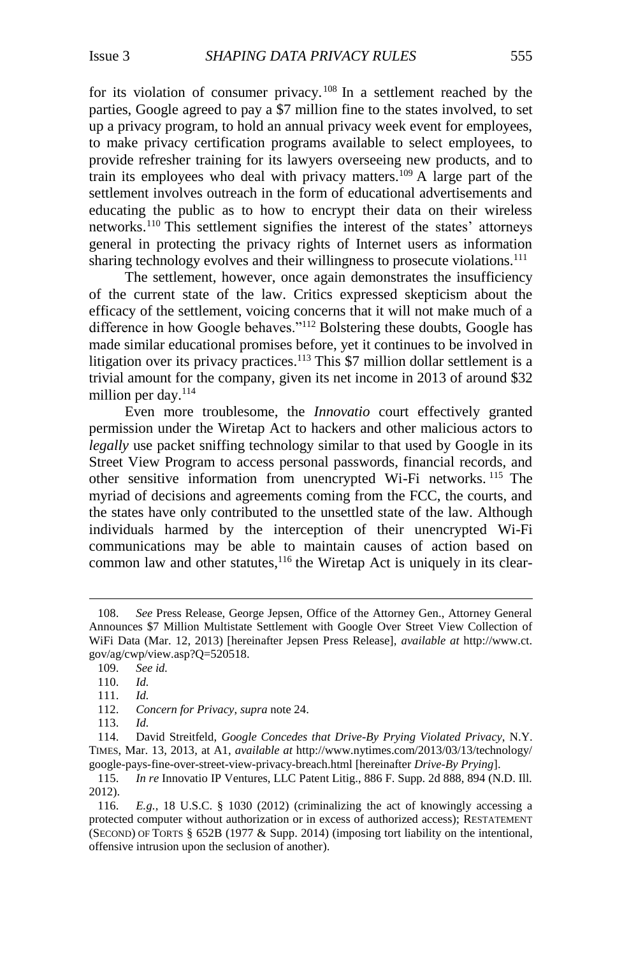<span id="page-18-0"></span>for its violation of consumer privacy. <sup>108</sup> In a settlement reached by the parties, Google agreed to pay a \$7 million fine to the states involved, to set up a privacy program, to hold an annual privacy week event for employees, to make privacy certification programs available to select employees, to provide refresher training for its lawyers overseeing new products, and to train its employees who deal with privacy matters.<sup>109</sup> A large part of the settlement involves outreach in the form of educational advertisements and educating the public as to how to encrypt their data on their wireless networks. <sup>110</sup> This settlement signifies the interest of the states' attorneys general in protecting the privacy rights of Internet users as information sharing technology evolves and their willingness to prosecute violations.<sup>111</sup>

The settlement, however, once again demonstrates the insufficiency of the current state of the law. Critics expressed skepticism about the efficacy of the settlement, voicing concerns that it will not make much of a difference in how Google behaves."<sup>112</sup> Bolstering these doubts, Google has made similar educational promises before, yet it continues to be involved in litigation over its privacy practices.<sup>113</sup> This \$7 million dollar settlement is a trivial amount for the company, given its net income in 2013 of around \$32 million per day. $114$ 

<span id="page-18-2"></span>Even more troublesome, the *Innovatio* court effectively granted permission under the Wiretap Act to hackers and other malicious actors to *legally* use packet sniffing technology similar to that used by Google in its Street View Program to access personal passwords, financial records, and other sensitive information from unencrypted Wi-Fi networks. <sup>115</sup> The myriad of decisions and agreements coming from the FCC, the courts, and the states have only contributed to the unsettled state of the law. Although individuals harmed by the interception of their unencrypted Wi-Fi communications may be able to maintain causes of action based on common law and other statutes, $116$  the Wiretap Act is uniquely in its clear-

<span id="page-18-1"></span><sup>108.</sup> *See* Press Release, George Jepsen, Office of the Attorney Gen., Attorney General Announces \$7 Million Multistate Settlement with Google Over Street View Collection of WiFi Data (Mar. 12, 2013) [hereinafter Jepsen Press Release], *available at* http://www.ct. gov/ag/cwp/view.asp?Q=520518.

<sup>109.</sup> *See id.*

<sup>110.</sup> *Id.*

<sup>111.</sup> *Id.*

<sup>112.</sup> *Concern for Privacy*, *supra* not[e 24.](#page-5-2)

<sup>113.</sup> *Id.*

<sup>114.</sup> David Streitfeld, *Google Concedes that Drive-By Prying Violated Privacy*, N.Y. TIMES, Mar. 13, 2013, at A1, *available at* http://www.nytimes.com/2013/03/13/technology/ google-pays-fine-over-street-view-privacy-breach.html [hereinafter *Drive-By Prying*].

<sup>115.</sup> *In re* Innovatio IP Ventures, LLC Patent Litig., 886 F. Supp. 2d 888, 894 (N.D. Ill. 2012).

<sup>116.</sup> *E.g.*, 18 U.S.C. § 1030 (2012) (criminalizing the act of knowingly accessing a protected computer without authorization or in excess of authorized access); RESTATEMENT (SECOND) OF TORTS § 652B (1977 & Supp. 2014) (imposing tort liability on the intentional, offensive intrusion upon the seclusion of another).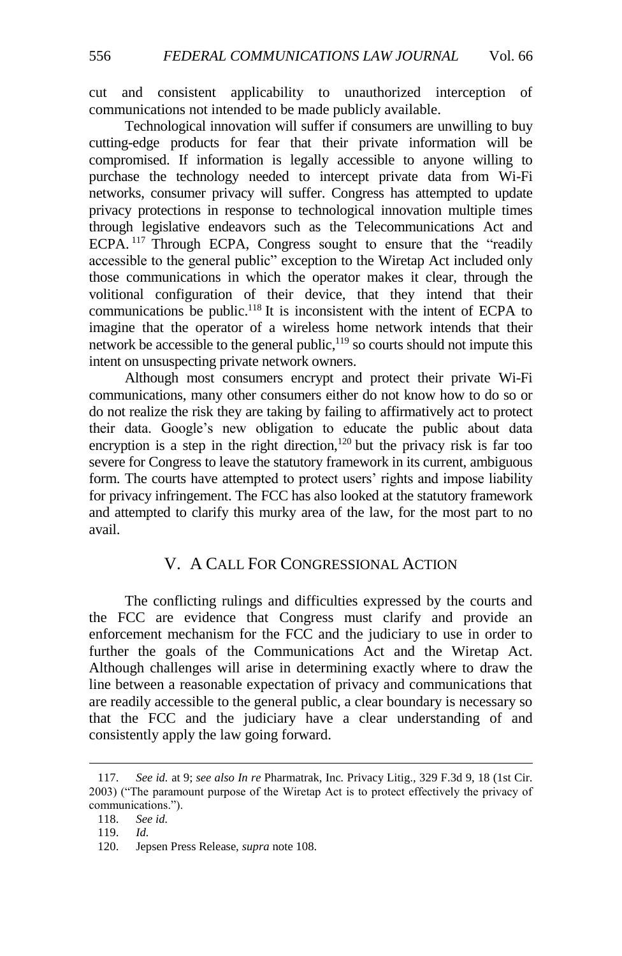cut and consistent applicability to unauthorized interception of communications not intended to be made publicly available.

Technological innovation will suffer if consumers are unwilling to buy cutting-edge products for fear that their private information will be compromised. If information is legally accessible to anyone willing to purchase the technology needed to intercept private data from Wi-Fi networks, consumer privacy will suffer. Congress has attempted to update privacy protections in response to technological innovation multiple times through legislative endeavors such as the Telecommunications Act and ECPA. <sup>117</sup> Through ECPA, Congress sought to ensure that the "readily accessible to the general public" exception to the Wiretap Act included only those communications in which the operator makes it clear, through the volitional configuration of their device, that they intend that their communications be public.<sup>118</sup> It is inconsistent with the intent of ECPA to imagine that the operator of a wireless home network intends that their network be accessible to the general public,<sup>119</sup> so courts should not impute this intent on unsuspecting private network owners.

Although most consumers encrypt and protect their private Wi-Fi communications, many other consumers either do not know how to do so or do not realize the risk they are taking by failing to affirmatively act to protect their data. Google's new obligation to educate the public about data encryption is a step in the right direction, $120$  but the privacy risk is far too severe for Congress to leave the statutory framework in its current, ambiguous form. The courts have attempted to protect users' rights and impose liability for privacy infringement. The FCC has also looked at the statutory framework and attempted to clarify this murky area of the law, for the most part to no avail.

# V. A CALL FOR CONGRESSIONAL ACTION

The conflicting rulings and difficulties expressed by the courts and the FCC are evidence that Congress must clarify and provide an enforcement mechanism for the FCC and the judiciary to use in order to further the goals of the Communications Act and the Wiretap Act. Although challenges will arise in determining exactly where to draw the line between a reasonable expectation of privacy and communications that are readily accessible to the general public, a clear boundary is necessary so that the FCC and the judiciary have a clear understanding of and consistently apply the law going forward.

<sup>117.</sup> *See id.* at 9; *see also In re* Pharmatrak, Inc*.* Privacy Litig.*,* 329 F.3d 9, 18 (1st Cir. 2003) ("The paramount purpose of the Wiretap Act is to protect effectively the privacy of communications.").

<sup>118.</sup> *See id.*

<sup>119.</sup> *Id.*

<sup>120.</sup> Jepsen Press Release, *supra* note [108.](#page-18-0)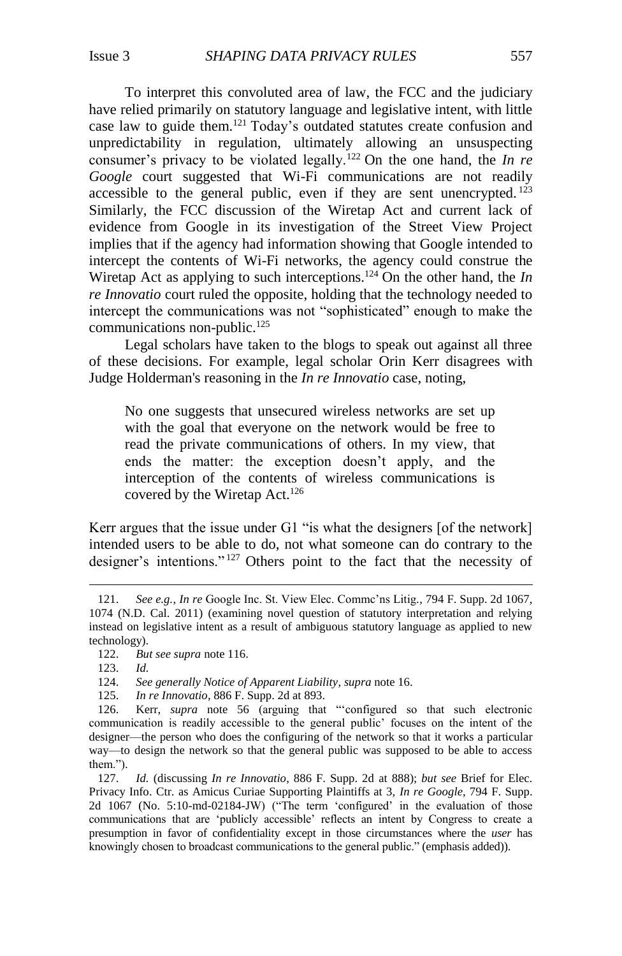To interpret this convoluted area of law, the FCC and the judiciary have relied primarily on statutory language and legislative intent, with little case law to guide them.<sup>121</sup> Today's outdated statutes create confusion and unpredictability in regulation, ultimately allowing an unsuspecting consumer's privacy to be violated legally.<sup>122</sup> On the one hand, the *In re Google* court suggested that Wi-Fi communications are not readily accessible to the general public, even if they are sent unencrypted.  $^{123}$ Similarly, the FCC discussion of the Wiretap Act and current lack of evidence from Google in its investigation of the Street View Project implies that if the agency had information showing that Google intended to intercept the contents of Wi-Fi networks, the agency could construe the Wiretap Act as applying to such interceptions.<sup>124</sup> On the other hand, the *In re Innovatio* court ruled the opposite, holding that the technology needed to intercept the communications was not "sophisticated" enough to make the communications non-public.<sup>125</sup>

Legal scholars have taken to the blogs to speak out against all three of these decisions. For example, legal scholar Orin Kerr [disagrees](http://www.volokh.com/2012/09/06/district-court-rules-that-the-wiretap-act-does-not-prohibit-intercepting-unencrypted-wireless-communications/) with Judge Holderman's reasoning in the *In re Innovatio* case, noting,

No one suggests that unsecured wireless networks are set up with the goal that everyone on the network would be free to read the private communications of others. In my view, that ends the matter: the exception doesn't apply, and the interception of the contents of wireless communications is covered by the Wiretap Act.<sup>126</sup>

Kerr argues that the issue under G1 "is what the designers [of the network] intended users to be able to do, not what someone can do contrary to the designer's intentions." <sup>127</sup> Others point to the fact that the necessity of

 $\overline{a}$ 

125. *In re Innovatio*, 886 F. Supp. 2d at 893.

<sup>121.</sup> *See e.g.*, *In re* Google Inc. St. View Elec. Commc'ns Litig*.*, 794 F. Supp. 2d 1067, 1074 (N.D. Cal. 2011) (examining novel question of statutory interpretation and relying instead on legislative intent as a result of ambiguous statutory language as applied to new technology).

<sup>122.</sup> *But see supra* not[e 116.](#page-18-1)

<sup>123.</sup> *Id.*

<sup>124.</sup> *See generally Notice of Apparent Liability*, *supra* not[e 16.](#page-4-0)

<sup>126.</sup> Kerr, *supra* note [56](#page-10-0) (arguing that "'configured so that such electronic communication is readily accessible to the general public' focuses on the intent of the designer—the person who does the configuring of the network so that it works a particular way—to design the network so that the general public was supposed to be able to access them.").

<sup>127.</sup> *Id.* (discussing *In re Innovatio*, 886 F. Supp. 2d at 888); *but see* Brief for Elec. Privacy Info. Ctr. as Amicus Curiae Supporting Plaintiffs at 3, *In re Google*, 794 F. Supp. 2d 1067 (No. 5:10-md-02184-JW) ("The term 'configured' in the evaluation of those communications that are 'publicly accessible' reflects an intent by Congress to create a presumption in favor of confidentiality except in those circumstances where the *user* has knowingly chosen to broadcast communications to the general public." (emphasis added)).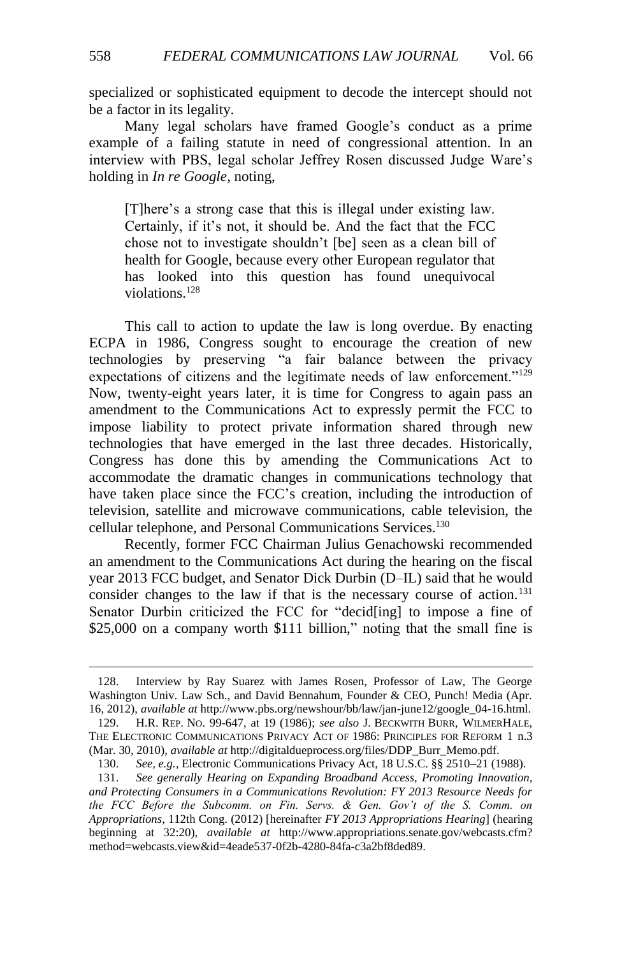specialized or sophisticated equipment to decode the intercept should not

Many legal scholars have framed Google's conduct as a prime example of a failing statute in need of congressional attention. In an interview with PBS, legal scholar Jeffrey Rosen discussed Judge Ware's holding in *In re Google*, noting,

[T]here's a strong case that this is illegal under existing law. Certainly, if it's not, it should be. And the fact that the FCC chose not to investigate shouldn't [be] seen as a clean bill of health for Google, because every other European regulator that has looked into this question has found unequivocal violations.<sup>128</sup>

This call to action to update the law is long overdue. By enacting ECPA in 1986, Congress sought to encourage the creation of new technologies by preserving "a fair balance between the privacy expectations of citizens and the legitimate needs of law enforcement."<sup>129</sup> Now, twenty-eight years later, it is time for Congress to again pass an amendment to the Communications Act to expressly permit the FCC to impose liability to protect private information shared through new technologies that have emerged in the last three decades. Historically, Congress has done this by amending the Communications Act to accommodate the dramatic changes in communications technology that have taken place since the FCC's creation, including the introduction of television, satellite and microwave communications, cable television, the cellular telephone, and Personal Communications Services.<sup>130</sup>

<span id="page-21-0"></span>Recently, former FCC Chairman Julius Genachowski recommended an amendment to the Communications Act during the hearing on the fiscal year 2013 FCC budget, and Senator Dick Durbin (D–IL) said that he would consider changes to the law if that is the necessary course of action.<sup>131</sup> Senator Durbin criticized the FCC for "decid[ing] to impose a fine of \$25,000 on a company worth \$111 billion," noting that the small fine is

 $\overline{a}$ 

be a factor in its legality.

<sup>128.</sup> Interview by Ray Suarez with James Rosen, Professor of Law, The George Washington Univ. Law Sch., and David Bennahum, Founder & CEO, Punch! Media (Apr. 16, 2012), *available at* http://www.pbs.org/newshour/bb/law/jan-june12/google\_04-16.html.

<sup>129.</sup> H.R. REP. NO. 99-647, at 19 (1986); *see also* J. BECKWITH BURR, WILMERHALE, THE ELECTRONIC COMMUNICATIONS PRIVACY ACT OF 1986: PRINCIPLES FOR REFORM 1 n.3 (Mar. 30, 2010), *available at* http://digitaldueprocess.org/files/DDP\_Burr\_Memo.pdf.

<sup>130.</sup> *See, e.g.*, Electronic Communications Privacy Act, 18 U.S.C. §§ 2510–21 (1988).

<sup>131.</sup> *See generally Hearing on Expanding Broadband Access, Promoting Innovation, and Protecting Consumers in a Communications Revolution: FY 2013 Resource Needs for the FCC Before the Subcomm. on Fin. Servs. & Gen. Gov't of the S. Comm. on Appropriations*, 112th Cong. (2012) [hereinafter *FY 2013 Appropriations Hearing*] (hearing beginning at 32:20), *available at* http://www.appropriations.senate.gov/webcasts.cfm? method=webcasts.view&id=4eade537-0f2b-4280-84fa-c3a2bf8ded89.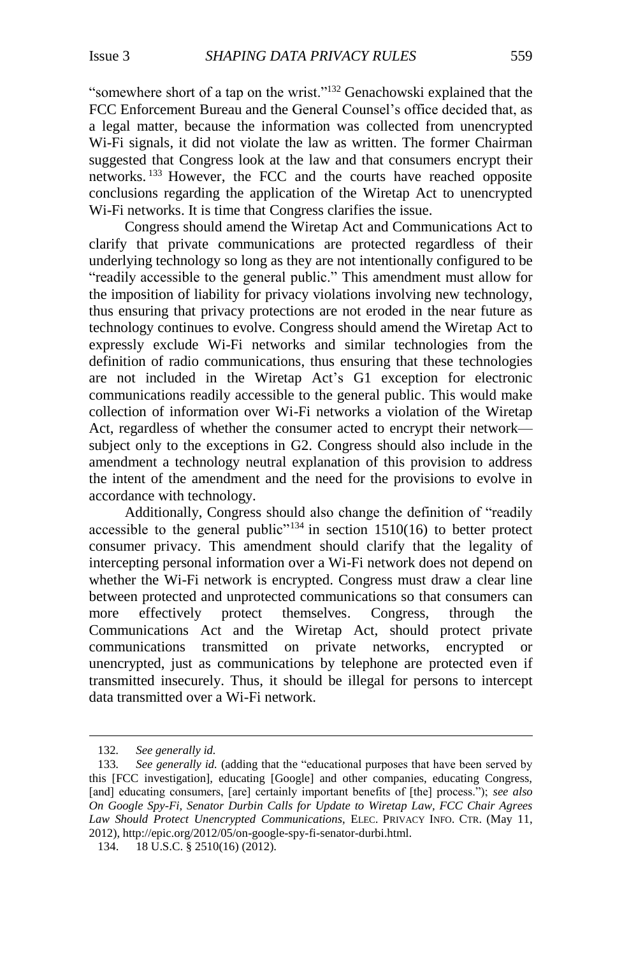"somewhere short of a tap on the wrist."<sup>132</sup> Genachowski explained that the FCC Enforcement Bureau and the General Counsel's office decided that, as a legal matter, because the information was collected from unencrypted Wi-Fi signals, it did not violate the law as written. The former Chairman suggested that Congress look at the law and that consumers encrypt their networks. <sup>133</sup> However, the FCC and the courts have reached opposite conclusions regarding the application of the Wiretap Act to unencrypted Wi-Fi networks. It is time that Congress clarifies the issue.

Congress should amend the Wiretap Act and Communications Act to clarify that private communications are protected regardless of their underlying technology so long as they are not intentionally configured to be "readily accessible to the general public." This amendment must allow for the imposition of liability for privacy violations involving new technology, thus ensuring that privacy protections are not eroded in the near future as technology continues to evolve. Congress should amend the Wiretap Act to expressly exclude Wi-Fi networks and similar technologies from the definition of radio communications, thus ensuring that these technologies are not included in the Wiretap Act's G1 exception for electronic communications readily accessible to the general public. This would make collection of information over Wi-Fi networks a violation of the Wiretap Act, regardless of whether the consumer acted to encrypt their network subject only to the exceptions in G2. Congress should also include in the amendment a technology neutral explanation of this provision to address the intent of the amendment and the need for the provisions to evolve in accordance with technology.

Additionally, Congress should also change the definition of "readily accessible to the general public<sup> $n_{134}$ </sup> in section 1510(16) to better protect consumer privacy. This amendment should clarify that the legality of intercepting personal information over a Wi-Fi network does not depend on whether the Wi-Fi network is encrypted. Congress must draw a clear line between protected and unprotected communications so that consumers can more effectively protect themselves. Congress, through the Communications Act and the Wiretap Act, should protect private communications transmitted on private networks, encrypted or unencrypted, just as communications by telephone are protected even if transmitted insecurely. Thus, it should be illegal for persons to intercept data transmitted over a Wi-Fi network.

<sup>132</sup>*. See generally id.*

<sup>133</sup>*. See generally id.* (adding that the "educational purposes that have been served by this [FCC investigation], educating [Google] and other companies, educating Congress, [and] educating consumers, [are] certainly important benefits of [the] process."); *see also On Google Spy-Fi, Senator Durbin Calls for Update to Wiretap Law, FCC Chair Agrees Law Should Protect Unencrypted Communications*, ELEC. PRIVACY INFO. CTR. (May 11, 2012), http://epic.org/2012/05/on-google-spy-fi-senator-durbi.html.

<sup>134.</sup> 18 U.S.C. § 2510(16) (2012).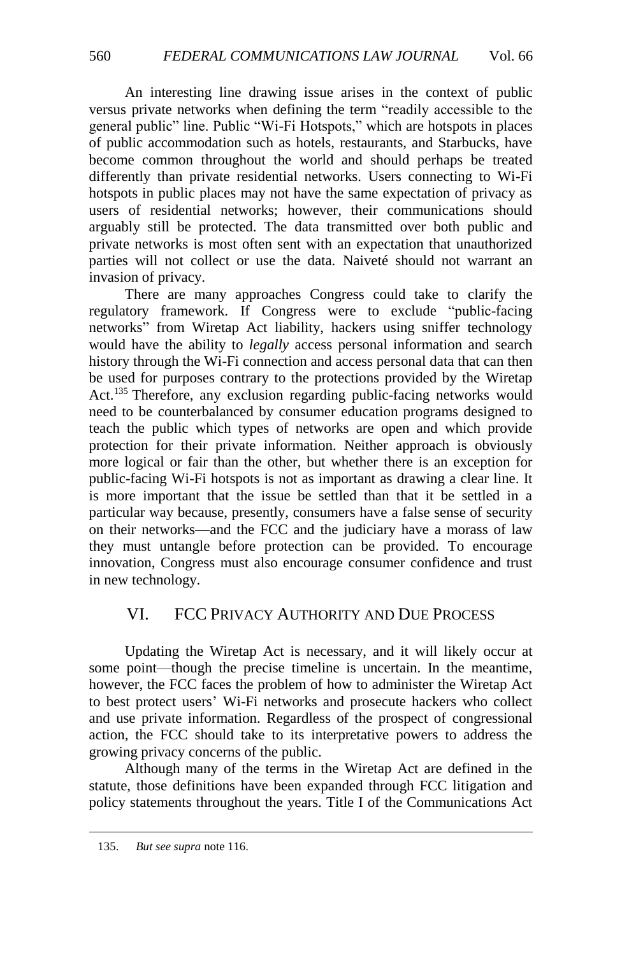An interesting line drawing issue arises in the context of public versus private networks when defining the term "readily accessible to the general public" line. Public "Wi-Fi Hotspots," which are hotspots in places of public accommodation such as hotels, restaurants, and Starbucks, have become common throughout the world and should perhaps be treated differently than private residential networks. Users connecting to Wi-Fi hotspots in public places may not have the same expectation of privacy as users of residential networks; however, their communications should arguably still be protected. The data transmitted over both public and private networks is most often sent with an expectation that unauthorized parties will not collect or use the data. Naiveté should not warrant an invasion of privacy.

There are many approaches Congress could take to clarify the regulatory framework. If Congress were to exclude "public-facing networks" from Wiretap Act liability, hackers using sniffer technology would have the ability to *legally* access personal information and search history through the Wi-Fi connection and access personal data that can then be used for purposes contrary to the protections provided by the Wiretap Act.<sup>135</sup> Therefore, any exclusion regarding public-facing networks would need to be counterbalanced by consumer education programs designed to teach the public which types of networks are open and which provide protection for their private information. Neither approach is obviously more logical or fair than the other, but whether there is an exception for public-facing Wi-Fi hotspots is not as important as drawing a clear line. It is more important that the issue be settled than that it be settled in a particular way because, presently, consumers have a false sense of security on their networks—and the FCC and the judiciary have a morass of law they must untangle before protection can be provided. To encourage innovation, Congress must also encourage consumer confidence and trust in new technology.

# VI. FCC PRIVACY AUTHORITY AND DUE PROCESS

Updating the Wiretap Act is necessary, and it will likely occur at some point—though the precise timeline is uncertain. In the meantime, however, the FCC faces the problem of how to administer the Wiretap Act to best protect users' Wi-Fi networks and prosecute hackers who collect and use private information. Regardless of the prospect of congressional action, the FCC should take to its interpretative powers to address the growing privacy concerns of the public.

Although many of the terms in the Wiretap Act are defined in the statute, those definitions have been expanded through FCC litigation and policy statements throughout the years. Title I of the Communications Act

<sup>135.</sup> *But see supra* not[e 116.](#page-18-1)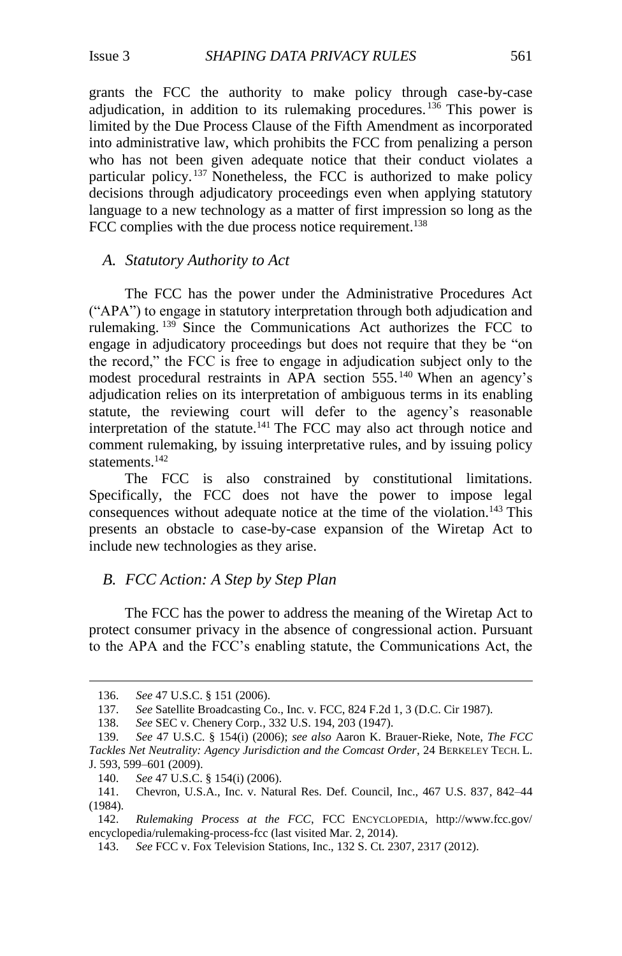grants the FCC the authority to make policy through case-by-case adjudication, in addition to its rulemaking procedures.<sup>136</sup> This power is limited by the Due Process Clause of the Fifth Amendment as incorporated into administrative law, which prohibits the FCC from penalizing a person who has not been given adequate notice that their conduct violates a particular policy. <sup>137</sup> Nonetheless, the FCC is authorized to make policy decisions through adjudicatory proceedings even when applying statutory language to a new technology as a matter of first impression so long as the FCC complies with the due process notice requirement.<sup>138</sup>

#### *A. Statutory Authority to Act*

The FCC has the power under the Administrative Procedures Act ("APA") to engage in statutory interpretation through both adjudication and rulemaking. <sup>139</sup> Since the Communications Act authorizes the FCC to engage in adjudicatory proceedings but does not require that they be "on the record," the FCC is free to engage in adjudication subject only to the modest procedural restraints in APA section 555.<sup>140</sup> When an agency's adjudication relies on its interpretation of ambiguous terms in its enabling statute, the reviewing court will defer to the agency's reasonable interpretation of the statute.<sup>141</sup> The FCC may also act through notice and comment rulemaking, by issuing interpretative rules, and by issuing policy statements.<sup>142</sup>

<span id="page-24-0"></span>The FCC is also constrained by constitutional limitations. Specifically, the FCC does not have the power to impose legal consequences without adequate notice at the time of the violation.<sup>143</sup> This presents an obstacle to case-by-case expansion of the Wiretap Act to include new technologies as they arise.

#### *B. FCC Action: A Step by Step Plan*

The FCC has the power to address the meaning of the Wiretap Act to protect consumer privacy in the absence of congressional action. Pursuant to the APA and the FCC's enabling statute, the Communications Act, the

 $\overline{a}$ 

142. *Rulemaking Process at the FCC*, FCC ENCYCLOPEDIA, http://www.fcc.gov/ encyclopedia/rulemaking-process-fcc (last visited Mar. 2, 2014).

<sup>136.</sup> *See* 47 U.S.C. § 151 (2006).

<sup>137.</sup> *See* Satellite Broadcasting Co., Inc. v. FCC, 824 F.2d 1, 3 (D.C. Cir 1987).

<sup>138.</sup> *See* SEC v. Chenery Corp*.*, 332 U.S. 194, 203 (1947).

<sup>139.</sup> *See* 47 U.S.C. § 154(i) (2006); *see also* Aaron K. Brauer-Rieke, Note, *The FCC Tackles Net Neutrality: Agency Jurisdiction and the Comcast Order*, 24 BERKELEY TECH. L. J. 593, 599–601 (2009).

<sup>140.</sup> *See* 47 U.S.C. § 154(i) (2006).

<sup>141.</sup> Chevron, U.S.A., Inc. v. Natural Res. Def. Council, Inc., 467 U.S. 837, 842–44 (1984).

<sup>143.</sup> *See* FCC v. Fox Television Stations, Inc., 132 S. Ct. 2307, 2317 (2012).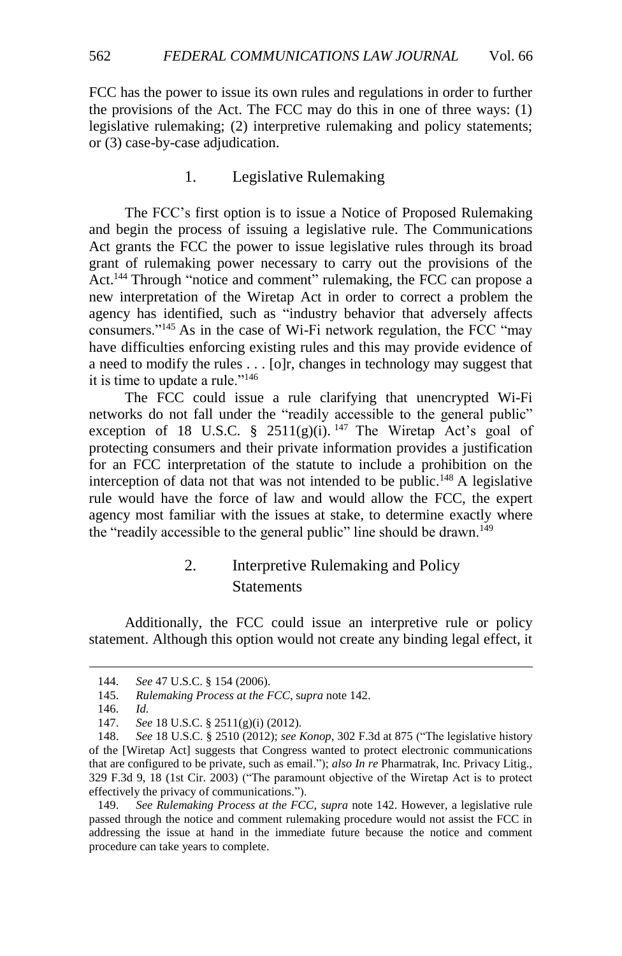FCC has the power to issue its own rules and regulations in order to further the provisions of the Act. The FCC may do this in one of three ways: (1) legislative rulemaking; (2) interpretive rulemaking and policy statements; or (3) case-by-case adjudication.

#### 1. Legislative Rulemaking

The FCC's first option is to issue a Notice of Proposed Rulemaking and begin the process of issuing a legislative rule. The Communications Act grants the FCC the power to issue legislative rules through its broad grant of rulemaking power necessary to carry out the provisions of the Act.<sup>144</sup> Through "notice and comment" rulemaking, the FCC can propose a new interpretation of the Wiretap Act in order to correct a problem the agency has identified, such as "industry behavior that adversely affects consumers."<sup>145</sup> As in the case of Wi-Fi network regulation, the FCC "may have difficulties enforcing existing rules and this may provide evidence of a need to modify the rules . . . [o]r, changes in technology may suggest that it is time to update a rule."<sup>146</sup>

The FCC could issue a rule clarifying that unencrypted Wi-Fi networks do not fall under the "readily accessible to the general public" exception of 18 U.S.C. § 2511(g)(i).  $147$  The Wiretap Act's goal of protecting consumers and their private information provides a justification for an FCC interpretation of the statute to include a prohibition on the interception of data not that was not intended to be public.<sup>148</sup> A legislative rule would have the force of law and would allow the FCC, the expert agency most familiar with the issues at stake, to determine exactly where the "readily accessible to the general public" line should be drawn.<sup>149</sup>

# 2. Interpretive Rulemaking and Policy **Statements**

Additionally, the FCC could issue an interpretive rule or policy statement. Although this option would not create any binding legal effect, it

<sup>144.</sup> *See* 47 U.S.C. § 154 (2006).

<sup>145.</sup> *Rulemaking Process at the FCC*, s*upra* not[e 142.](#page-24-0)

<sup>146.</sup> *Id.*

<sup>147.</sup> *See* 18 U.S.C. § 2511(g)(i) (2012).

<sup>148.</sup> *See* 18 U.S.C. § 2510 (2012); *see Konop*, 302 F.3d at 875 ("The legislative history of the [Wiretap Act] suggests that Congress wanted to protect electronic communications that are configured to be private, such as email."); *also In re* Pharmatrak, Inc*.* Privacy Litig.*,*  329 F.3d 9, 18 (1st Cir. 2003) ("The paramount objective of the Wiretap Act is to protect effectively the privacy of communications.").

<sup>149.</sup> *See Rulemaking Process at the FCC*, *supra* note [142.](#page-24-0) However, a legislative rule passed through the notice and comment rulemaking procedure would not assist the FCC in addressing the issue at hand in the immediate future because the notice and comment procedure can take years to complete.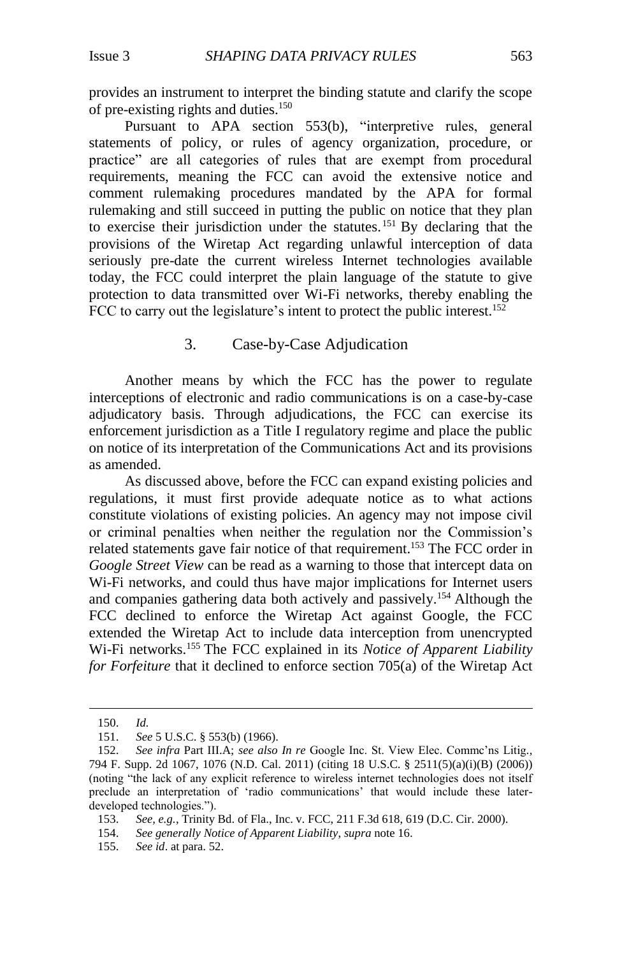provides an instrument to interpret the binding statute and clarify the scope of pre-existing rights and duties.<sup>150</sup>

Pursuant to APA section 553(b), "interpretive rules, general statements of policy, or rules of agency organization, procedure, or practice" are all categories of rules that are exempt from procedural requirements, meaning the FCC can avoid the extensive notice and comment rulemaking procedures mandated by the APA for formal rulemaking and still succeed in putting the public on notice that they plan to exercise their jurisdiction under the statutes.<sup>151</sup> By declaring that the provisions of the Wiretap Act regarding unlawful interception of data seriously pre-date the current wireless Internet technologies available today, the FCC could interpret the plain language of the statute to give protection to data transmitted over Wi-Fi networks, thereby enabling the FCC to carry out the legislature's intent to protect the public interest.<sup>152</sup>

#### 3. Case-by-Case Adjudication

Another means by which the FCC has the power to regulate interceptions of electronic and radio communications is on a case-by-case adjudicatory basis. Through adjudications, the FCC can exercise its enforcement jurisdiction as a Title I regulatory regime and place the public on notice of its interpretation of the Communications Act and its provisions as amended.

As discussed above, before the FCC can expand existing policies and regulations, it must first provide adequate notice as to what actions constitute violations of existing policies. An agency may not impose civil or criminal penalties when neither the regulation nor the Commission's related statements gave fair notice of that requirement.<sup>153</sup> The FCC order in *Google Street View* can be read as a warning to those that intercept data on Wi-Fi networks, and could thus have major implications for Internet users and companies gathering data both actively and passively.<sup>154</sup> Although the FCC declined to enforce the Wiretap Act against Google, the FCC extended the Wiretap Act to include data interception from unencrypted Wi-Fi networks.<sup>155</sup> The FCC explained in its *Notice of Apparent Liability for Forfeiture* that it declined to enforce section 705(a) of the Wiretap Act

<sup>150.</sup> *Id.*

<sup>151.</sup> *See* 5 U.S.C. § 553(b) (1966).

<sup>152.</sup> *See infra* Part III.A; *see also In re* Google Inc. St. View Elec. Commc'ns Litig*.*, 794 F. Supp. 2d 1067, 1076 (N.D. Cal. 2011) (citing 18 U.S.C. § 2511(5)(a)(i)(B) (2006)) (noting "the lack of any explicit reference to wireless internet technologies does not itself preclude an interpretation of 'radio communications' that would include these laterdeveloped technologies.").

<sup>153.</sup> *See, e.g.*, Trinity Bd. of Fla., Inc. v. FCC, 211 F.3d 618, 619 (D.C. Cir. 2000).

<sup>154.</sup> *See generally Notice of Apparent Liability*, *supra* not[e 16.](#page-4-0)

<sup>155.</sup> *See id*. at para. 52.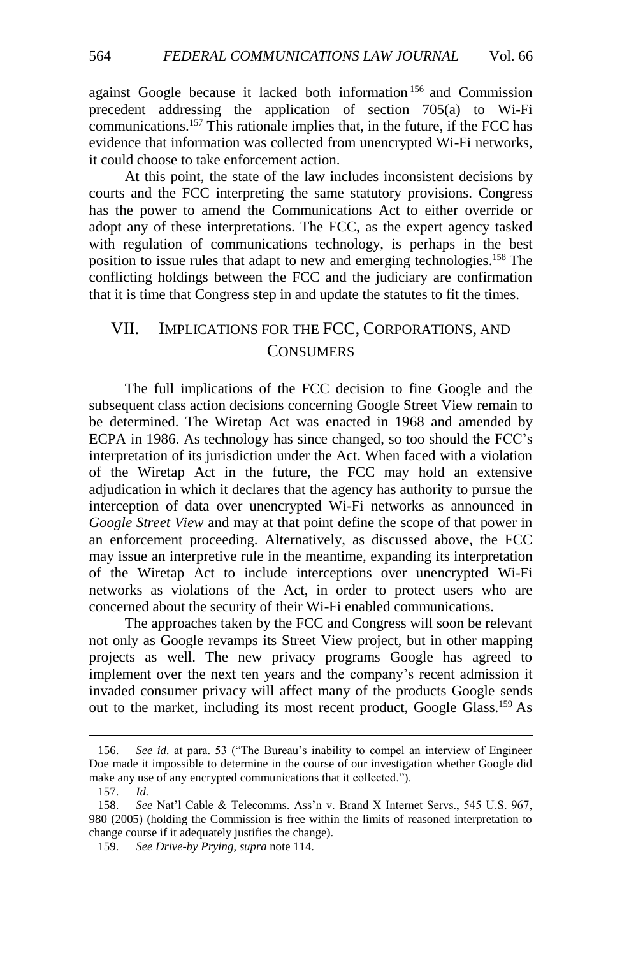against Google because it lacked both information <sup>156</sup> and Commission precedent addressing the application of section 705(a) to Wi-Fi communications.<sup>157</sup> This rationale implies that, in the future, if the FCC has evidence that information was collected from unencrypted Wi-Fi networks, it could choose to take enforcement action.

At this point, the state of the law includes inconsistent decisions by courts and the FCC interpreting the same statutory provisions. Congress has the power to amend the Communications Act to either override or adopt any of these interpretations. The FCC, as the expert agency tasked with regulation of communications technology, is perhaps in the best position to issue rules that adapt to new and emerging technologies.<sup>158</sup> The conflicting holdings between the FCC and the judiciary are confirmation that it is time that Congress step in and update the statutes to fit the times.

# VII. IMPLICATIONS FOR THE FCC, CORPORATIONS, AND **CONSUMERS**

The full implications of the FCC decision to fine Google and the subsequent class action decisions concerning Google Street View remain to be determined. The Wiretap Act was enacted in 1968 and amended by ECPA in 1986. As technology has since changed, so too should the FCC's interpretation of its jurisdiction under the Act. When faced with a violation of the Wiretap Act in the future, the FCC may hold an extensive adjudication in which it declares that the agency has authority to pursue the interception of data over unencrypted Wi-Fi networks as announced in *Google Street View* and may at that point define the scope of that power in an enforcement proceeding. Alternatively, as discussed above, the FCC may issue an interpretive rule in the meantime, expanding its interpretation of the Wiretap Act to include interceptions over unencrypted Wi-Fi networks as violations of the Act, in order to protect users who are concerned about the security of their Wi-Fi enabled communications.

The approaches taken by the FCC and Congress will soon be relevant not only as Google revamps its Street View project, but in other mapping projects as well. The new privacy programs Google has agreed to implement over the next ten years and the company's recent admission it invaded consumer privacy will affect many of the products Google sends out to the market, including its most recent product, Google Glass.<sup>159</sup> As

<sup>156.</sup> *See id.* at para. 53 ("The Bureau's inability to compel an interview of Engineer Doe made it impossible to determine in the course of our investigation whether Google did make any use of any encrypted communications that it collected.").

<sup>157.</sup> *Id.*

<sup>158.</sup> *See* Nat'l Cable & Telecomms. Ass'n v. Brand X Internet Servs., 545 U.S. 967, 980 (2005) (holding the Commission is free within the limits of reasoned interpretation to change course if it adequately justifies the change).

<sup>159.</sup> *See Drive-by Prying*, *supra* note [114.](#page-18-2)